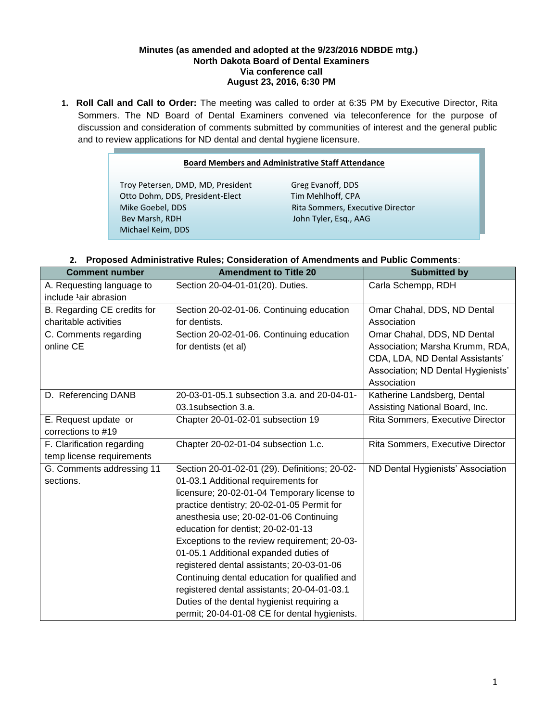#### **Minutes (as amended and adopted at the 9/23/2016 NDBDE mtg.) North Dakota Board of Dental Examiners Via conference call August 23, 2016, 6:30 PM**

**1. Roll Call and Call to Order:** The meeting was called to order at 6:35 PM by Executive Director, Rita Sommers. The ND Board of Dental Examiners convened via teleconference for the purpose of discussion and consideration of comments submitted by communities of interest and the general public and to review applications for ND dental and dental hygiene licensure.

#### **Board Members and Administrative Staff Attendance**

Troy Petersen, DMD, MD, President Greg Evanoff, DDS<br>Otto Dohm, DDS, President-Elect Tim Mehlhoff, CPA Otto Dohm, DDS, President-Elect Mike Goebel, DDS Rita Sommers, Executive Director Bev Marsh, RDH John Tyler, Esq., AAG Michael Keim, DDS

# **2. Proposed Administrative Rules; Consideration of Amendments and Public Comments**:

| <b>Comment number</b>             | <b>Amendment to Title 20</b>                  | <b>Submitted by</b>                |
|-----------------------------------|-----------------------------------------------|------------------------------------|
| A. Requesting language to         | Section 20-04-01-01(20). Duties.              | Carla Schempp, RDH                 |
| include <sup>1</sup> air abrasion |                                               |                                    |
| B. Regarding CE credits for       | Section 20-02-01-06. Continuing education     | Omar Chahal, DDS, ND Dental        |
| charitable activities             | for dentists.                                 | Association                        |
| C. Comments regarding             | Section 20-02-01-06. Continuing education     | Omar Chahal, DDS, ND Dental        |
| online CE                         | for dentists (et al)                          | Association; Marsha Krumm, RDA,    |
|                                   |                                               | CDA, LDA, ND Dental Assistants'    |
|                                   |                                               | Association; ND Dental Hygienists' |
|                                   |                                               | Association                        |
| D. Referencing DANB               | 20-03-01-05.1 subsection 3.a. and 20-04-01-   | Katherine Landsberg, Dental        |
|                                   | 03.1 subsection 3.a.                          | Assisting National Board, Inc.     |
| E. Request update or              | Chapter 20-01-02-01 subsection 19             | Rita Sommers, Executive Director   |
| corrections to #19                |                                               |                                    |
| F. Clarification regarding        | Chapter 20-02-01-04 subsection 1.c.           | Rita Sommers, Executive Director   |
| temp license requirements         |                                               |                                    |
| G. Comments addressing 11         | Section 20-01-02-01 (29). Definitions; 20-02- | ND Dental Hygienists' Association  |
| sections.                         | 01-03.1 Additional requirements for           |                                    |
|                                   | licensure; 20-02-01-04 Temporary license to   |                                    |
|                                   | practice dentistry; 20-02-01-05 Permit for    |                                    |
|                                   | anesthesia use; 20-02-01-06 Continuing        |                                    |
|                                   | education for dentist; 20-02-01-13            |                                    |
|                                   | Exceptions to the review requirement; 20-03-  |                                    |
|                                   | 01-05.1 Additional expanded duties of         |                                    |
|                                   | registered dental assistants; 20-03-01-06     |                                    |
|                                   | Continuing dental education for qualified and |                                    |
|                                   | registered dental assistants; 20-04-01-03.1   |                                    |
|                                   | Duties of the dental hygienist requiring a    |                                    |
|                                   | permit; 20-04-01-08 CE for dental hygienists. |                                    |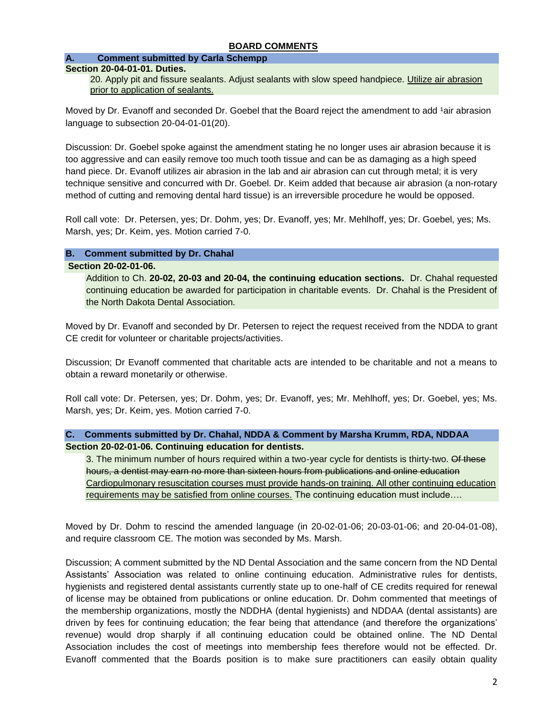#### **BOARD COMMENTS**

#### **A. Comment submitted by Carla Schempp**

#### **Section 20-04-01-01. Duties.**

20. Apply pit and fissure sealants. Adjust sealants with slow speed handpiece. Utilize air abrasion prior to application of sealants.

Moved by Dr. Evanoff and seconded Dr. Goebel that the Board reject the amendment to add <sup>1</sup>air abrasion language to subsection 20-04-01-01(20).

Discussion: Dr. Goebel spoke against the amendment stating he no longer uses air abrasion because it is too aggressive and can easily remove too much tooth tissue and can be as damaging as a high speed hand piece. Dr. Evanoff utilizes air abrasion in the lab and air abrasion can cut through metal; it is very technique sensitive and concurred with Dr. Goebel. Dr. Keim added that because air abrasion (a non-rotary method of cutting and removing dental hard tissue) is an irreversible procedure he would be opposed.

Roll call vote: Dr. Petersen, yes; Dr. Dohm, yes; Dr. Evanoff, yes; Mr. Mehlhoff, yes; Dr. Goebel, yes; Ms. Marsh, yes; Dr. Keim, yes. Motion carried 7-0.

#### **B. Comment submitted by Dr. Chahal**

#### **Section 20-02-01-06.**

Addition to Ch. **20-02, 20-03 and 20-04, the continuing education sections.** Dr. Chahal requested continuing education be awarded for participation in charitable events. Dr. Chahal is the President of the North Dakota Dental Association.

Moved by Dr. Evanoff and seconded by Dr. Petersen to reject the request received from the NDDA to grant CE credit for volunteer or charitable projects/activities.

Discussion; Dr Evanoff commented that charitable acts are intended to be charitable and not a means to obtain a reward monetarily or otherwise.

Roll call vote: Dr. Petersen, yes; Dr. Dohm, yes; Dr. Evanoff, yes; Mr. Mehlhoff, yes; Dr. Goebel, yes; Ms. Marsh, yes; Dr. Keim, yes. Motion carried 7-0.

**C. Comments submitted by Dr. Chahal, NDDA & Comment by Marsha Krumm, RDA, NDDAA Section 20-02-01-06. Continuing education for dentists.**

3. The minimum number of hours required within a two-year cycle for dentists is thirty-two. Of these hours, a dentist may earn no more than sixteen hours from publications and online education Cardiopulmonary resuscitation courses must provide hands-on training. All other continuing education requirements may be satisfied from online courses. The continuing education must include….

Moved by Dr. Dohm to rescind the amended language (in 20-02-01-06; 20-03-01-06; and 20-04-01-08), and require classroom CE. The motion was seconded by Ms. Marsh.

Discussion; A comment submitted by the ND Dental Association and the same concern from the ND Dental Assistants' Association was related to online continuing education. Administrative rules for dentists, hygienists and registered dental assistants currently state up to one-half of CE credits required for renewal of license may be obtained from publications or online education. Dr. Dohm commented that meetings of the membership organizations, mostly the NDDHA (dental hygienists) and NDDAA (dental assistants) are driven by fees for continuing education; the fear being that attendance (and therefore the organizations' revenue) would drop sharply if all continuing education could be obtained online. The ND Dental Association includes the cost of meetings into membership fees therefore would not be effected. Dr. Evanoff commented that the Boards position is to make sure practitioners can easily obtain quality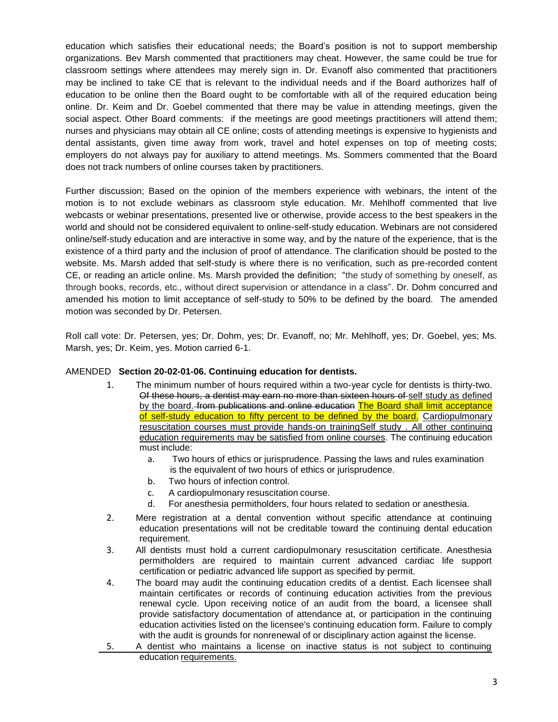education which satisfies their educational needs; the Board's position is not to support membership organizations. Bev Marsh commented that practitioners may cheat. However, the same could be true for classroom settings where attendees may merely sign in. Dr. Evanoff also commented that practitioners may be inclined to take CE that is relevant to the individual needs and if the Board authorizes half of education to be online then the Board ought to be comfortable with all of the required education being online. Dr. Keim and Dr. Goebel commented that there may be value in attending meetings, given the social aspect. Other Board comments: if the meetings are good meetings practitioners will attend them; nurses and physicians may obtain all CE online; costs of attending meetings is expensive to hygienists and dental assistants, given time away from work, travel and hotel expenses on top of meeting costs; employers do not always pay for auxiliary to attend meetings. Ms. Sommers commented that the Board does not track numbers of online courses taken by practitioners.

Further discussion; Based on the opinion of the members experience with webinars, the intent of the motion is to not exclude webinars as classroom style education. Mr. Mehlhoff commented that live webcasts or webinar presentations, presented live or otherwise, provide access to the best speakers in the world and should not be considered equivalent to online-self-study education. Webinars are not considered online/self-study education and are interactive in some way, and by the nature of the experience, that is the existence of a third party and the inclusion of proof of attendance. The clarification should be posted to the website. Ms. Marsh added that self-study is where there is no verification, such as pre-recorded content CE, or reading an article online. Ms. Marsh provided the definition; "the study of something by oneself, as through books, records, etc., without direct supervision or attendance in a class". Dr. Dohm concurred and amended his motion to limit acceptance of self-study to 50% to be defined by the board. The amended motion was seconded by Dr. Petersen.

Roll call vote: Dr. Petersen, yes; Dr. Dohm, yes; Dr. Evanoff, no; Mr. Mehlhoff, yes; Dr. Goebel, yes; Ms. Marsh, yes; Dr. Keim, yes. Motion carried 6-1.

#### AMENDED **Section 20-02-01-06. Continuing education for dentists.**

- 1. The minimum number of hours required within a two-year cycle for dentists is thirty-two. Of these hours, a dentist may earn no more than sixteen hours of self study as defined by the board. from publications and online education The Board shall limit acceptance of self-study education to fifty percent to be defined by the board. Cardiopulmonary resuscitation courses must provide hands-on trainingSelf study . All other continuing education requirements may be satisfied from online courses. The continuing education must include:
	- a. Two hours of ethics or jurisprudence. Passing the laws and rules examination is the equivalent of two hours of ethics or jurisprudence.
	- b. Two hours of infection control.
	- c. A cardiopulmonary resuscitation course.
	- d. For anesthesia permitholders, four hours related to sedation or anesthesia.
- 2. Mere registration at a dental convention without specific attendance at continuing education presentations will not be creditable toward the continuing dental education requirement.
- 3. All dentists must hold a current cardiopulmonary resuscitation certificate. Anesthesia permitholders are required to maintain current advanced cardiac life support certification or pediatric advanced life support as specified by permit.
- 4. The board may audit the continuing education credits of a dentist. Each licensee shall maintain certificates or records of continuing education activities from the previous renewal cycle. Upon receiving notice of an audit from the board, a licensee shall provide satisfactory documentation of attendance at, or participation in the continuing education activities listed on the licensee's continuing education form. Failure to comply with the audit is grounds for nonrenewal of or disciplinary action against the license.
- 5. A dentist who maintains a license on inactive status is not subject to continuing education requirements.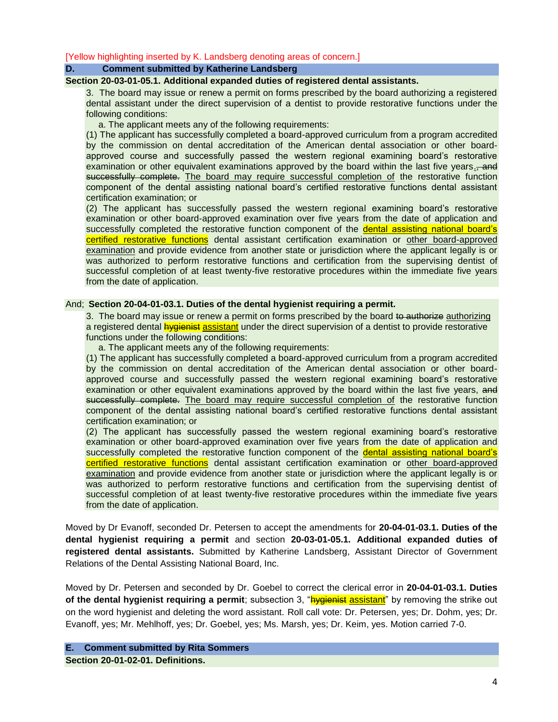[Yellow highlighting inserted by K. Landsberg denoting areas of concern.]

#### **D. Comment submitted by Katherine Landsberg**

#### **Section 20-03-01-05.1. Additional expanded duties of registered dental assistants.**

3. The board may issue or renew a permit on forms prescribed by the board authorizing a registered dental assistant under the direct supervision of a dentist to provide restorative functions under the following conditions:

a. The applicant meets any of the following requirements:

(1) The applicant has successfully completed a board-approved curriculum from a program accredited by the commission on dental accreditation of the American dental association or other boardapproved course and successfully passed the western regional examining board's restorative examination or other equivalent examinations approved by the board within the last five years. and successfully complete. The board may require successful completion of the restorative function component of the dental assisting national board's certified restorative functions dental assistant certification examination; or

(2) The applicant has successfully passed the western regional examining board's restorative examination or other board-approved examination over five years from the date of application and successfully completed the restorative function component of the dental assisting national board's certified restorative functions dental assistant certification examination or other board-approved examination and provide evidence from another state or jurisdiction where the applicant legally is or was authorized to perform restorative functions and certification from the supervising dentist of successful completion of at least twenty-five restorative procedures within the immediate five years from the date of application.

#### And; **Section 20-04-01-03.1. Duties of the dental hygienist requiring a permit.**

3. The board may issue or renew a permit on forms prescribed by the board to authorize authorizing a registered dental **hygienist assistant** under the direct supervision of a dentist to provide restorative functions under the following conditions:

a. The applicant meets any of the following requirements:

(1) The applicant has successfully completed a board-approved curriculum from a program accredited by the commission on dental accreditation of the American dental association or other boardapproved course and successfully passed the western regional examining board's restorative examination or other equivalent examinations approved by the board within the last five years, and successfully complete. The board may require successful completion of the restorative function component of the dental assisting national board's certified restorative functions dental assistant certification examination; or

(2) The applicant has successfully passed the western regional examining board's restorative examination or other board-approved examination over five years from the date of application and successfully completed the restorative function component of the dental assisting national board's certified restorative functions dental assistant certification examination or other board-approved examination and provide evidence from another state or jurisdiction where the applicant legally is or was authorized to perform restorative functions and certification from the supervising dentist of successful completion of at least twenty-five restorative procedures within the immediate five years from the date of application.

Moved by Dr Evanoff, seconded Dr. Petersen to accept the amendments for **20-04-01-03.1. Duties of the dental hygienist requiring a permit** and section **20-03-01-05.1. Additional expanded duties of registered dental assistants.** Submitted by Katherine Landsberg, Assistant Director of Government Relations of the Dental Assisting National Board, Inc.

Moved by Dr. Petersen and seconded by Dr. Goebel to correct the clerical error in **20-04-01-03.1. Duties of the dental hygienist requiring a permit**; subsection 3, "**hygienist assistant**" by removing the strike out on the word hygienist and deleting the word assistant. Roll call vote: Dr. Petersen, yes; Dr. Dohm, yes; Dr. Evanoff, yes; Mr. Mehlhoff, yes; Dr. Goebel, yes; Ms. Marsh, yes; Dr. Keim, yes. Motion carried 7-0.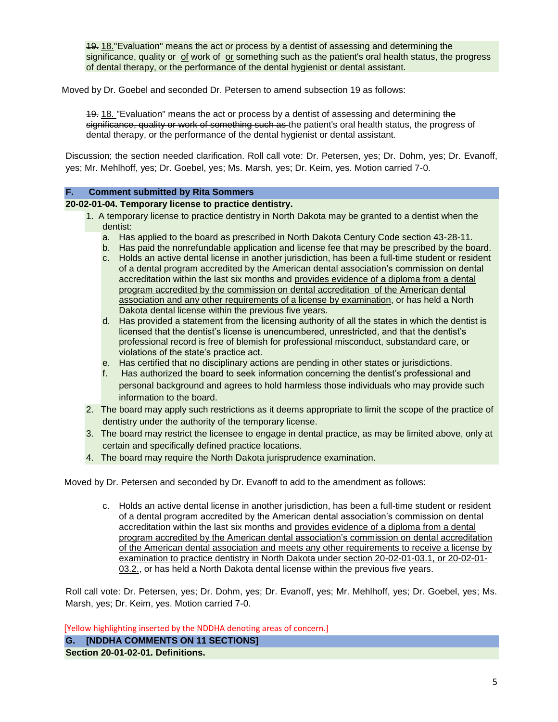19. 18."Evaluation" means the act or process by a dentist of assessing and determining the significance, quality or of work of or something such as the patient's oral health status, the progress of dental therapy, or the performance of the dental hygienist or dental assistant.

Moved by Dr. Goebel and seconded Dr. Petersen to amend subsection 19 as follows:

19. 18. "Evaluation" means the act or process by a dentist of assessing and determining the significance, quality or work of something such as the patient's oral health status, the progress of dental therapy, or the performance of the dental hygienist or dental assistant.

Discussion; the section needed clarification. Roll call vote: Dr. Petersen, yes; Dr. Dohm, yes; Dr. Evanoff, yes; Mr. Mehlhoff, yes; Dr. Goebel, yes; Ms. Marsh, yes; Dr. Keim, yes. Motion carried 7-0.

#### **F. Comment submitted by Rita Sommers**

#### **20-02-01-04. Temporary license to practice dentistry.**

- 1. A temporary license to practice dentistry in North Dakota may be granted to a dentist when the dentist:
	- a. Has applied to the board as prescribed in North Dakota Century Code section 43-28-11.
	- b. Has paid the nonrefundable application and license fee that may be prescribed by the board.
	- c. Holds an active dental license in another jurisdiction, has been a full-time student or resident of a dental program accredited by the American dental association's commission on dental accreditation within the last six months and provides evidence of a diploma from a dental program accredited by the commission on dental accreditation of the American dental association and any other requirements of a license by examination, or has held a North Dakota dental license within the previous five years.
	- d. Has provided a statement from the licensing authority of all the states in which the dentist is licensed that the dentist's license is unencumbered, unrestricted, and that the dentist's professional record is free of blemish for professional misconduct, substandard care, or violations of the state's practice act.
	- e. Has certified that no disciplinary actions are pending in other states or jurisdictions.
	- f. Has authorized the board to seek information concerning the dentist's professional and personal background and agrees to hold harmless those individuals who may provide such information to the board.
- 2. The board may apply such restrictions as it deems appropriate to limit the scope of the practice of dentistry under the authority of the temporary license.
- 3. The board may restrict the licensee to engage in dental practice, as may be limited above, only at certain and specifically defined practice locations.
- 4. The board may require the North Dakota jurisprudence examination.

Moved by Dr. Petersen and seconded by Dr. Evanoff to add to the amendment as follows:

c. Holds an active dental license in another jurisdiction, has been a full-time student or resident of a dental program accredited by the American dental association's commission on dental accreditation within the last six months and provides evidence of a diploma from a dental program accredited by the American dental association's commission on dental accreditation of the American dental association and meets any other requirements to receive a license by examination to practice dentistry in North Dakota under section 20-02-01-03.1, or 20-02-01- 03.2., or has held a North Dakota dental license within the previous five years.

Roll call vote: Dr. Petersen, yes; Dr. Dohm, yes; Dr. Evanoff, yes; Mr. Mehlhoff, yes; Dr. Goebel, yes; Ms. Marsh, yes; Dr. Keim, yes. Motion carried 7-0.

[Yellow highlighting inserted by the NDDHA denoting areas of concern.]

**G. [NDDHA COMMENTS ON 11 SECTIONS] Section 20-01-02-01. Definitions.**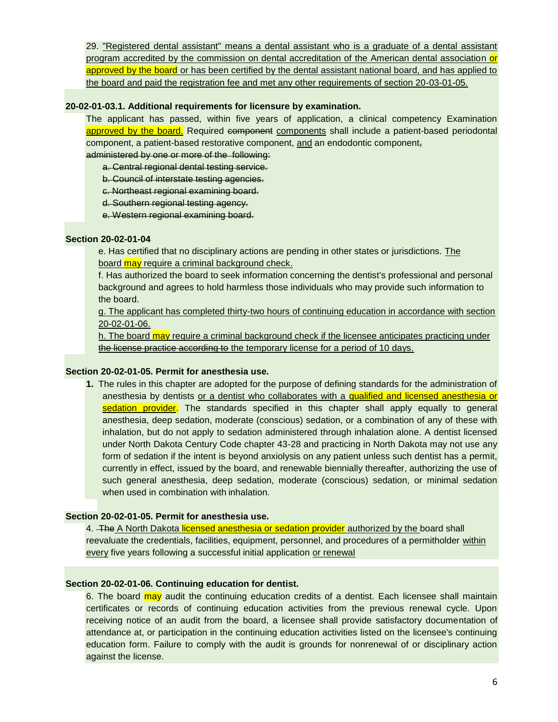29. "Registered dental assistant" means a dental assistant who is a graduate of a dental assistant program accredited by the commission on dental accreditation of the American dental association or approved by the board or has been certified by the dental assistant national board, and has applied to the board and paid the registration fee and met any other requirements of section 20-03-01-05.

#### **20-02-01-03.1. Additional requirements for licensure by examination.**

The applicant has passed, within five years of application, a clinical competency Examination approved by the board. Required component components shall include a patient-based periodontal component, a patient-based restorative component, and an endodontic component, administered by one or more of the following:

a. Central regional dental testing service.

b. Council of interstate testing agencies.

c. Northeast regional examining board.

d. Southern regional testing agency.

e. Western regional examining board.

#### **Section 20-02-01-04**

e. Has certified that no disciplinary actions are pending in other states or jurisdictions. The board may require a criminal background check.

f. Has authorized the board to seek information concerning the dentist's professional and personal background and agrees to hold harmless those individuals who may provide such information to the board.

g. The applicant has completed thirty-two hours of continuing education in accordance with section 20-02-01-06.

h. The board may require a criminal background check if the licensee anticipates practicing under the license practice according to the temporary license for a period of 10 days.

#### **Section 20-02-01-05. Permit for anesthesia use.**

**1.** The rules in this chapter are adopted for the purpose of defining standards for the administration of anesthesia by dentists or a dentist who collaborates with a qualified and licensed anesthesia or sedation provider. The standards specified in this chapter shall apply equally to general anesthesia, deep sedation, moderate (conscious) sedation, or a combination of any of these with inhalation, but do not apply to sedation administered through inhalation alone. A dentist licensed under North Dakota Century Code chapter 43-28 and practicing in North Dakota may not use any form of sedation if the intent is beyond anxiolysis on any patient unless such dentist has a permit, currently in effect, issued by the board, and renewable biennially thereafter, authorizing the use of such general anesthesia, deep sedation, moderate (conscious) sedation, or minimal sedation when used in combination with inhalation.

#### **Section 20-02-01-05. Permit for anesthesia use.**

4. The A North Dakota licensed anesthesia or sedation provider authorized by the board shall reevaluate the credentials, facilities, equipment, personnel, and procedures of a permitholder within every five years following a successful initial application or renewal

#### **Section 20-02-01-06. Continuing education for dentist.**

6. The board may audit the continuing education credits of a dentist. Each licensee shall maintain certificates or records of continuing education activities from the previous renewal cycle. Upon receiving notice of an audit from the board, a licensee shall provide satisfactory documentation of attendance at, or participation in the continuing education activities listed on the licensee's continuing education form. Failure to comply with the audit is grounds for nonrenewal of or disciplinary action against the license.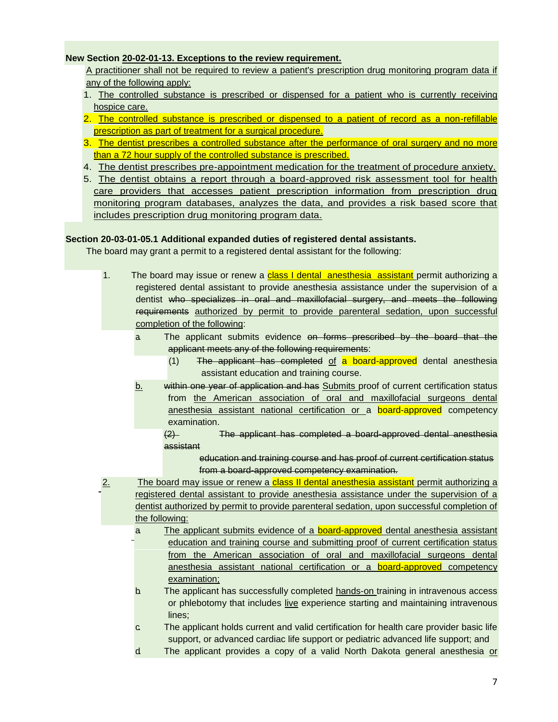#### **New Section 20-02-01-13. Exceptions to the review requirement.**

A practitioner shall not be required to review a patient's prescription drug monitoring program data if any of the following apply:

- 1. The controlled substance is prescribed or dispensed for a patient who is currently receiving hospice care.
- 2. The controlled substance is prescribed or dispensed to a patient of record as a non-refillable prescription as part of treatment for a surgical procedure.
- 3. The dentist prescribes a controlled substance after the performance of oral surgery and no more than a 72 hour supply of the controlled substance is prescribed.
- 4. The dentist prescribes pre-appointment medication for the treatment of procedure anxiety.
- 5. The dentist obtains a report through a board-approved risk assessment tool for health care providers that accesses patient prescription information from prescription drug monitoring program databases, analyzes the data, and provides a risk based score that includes prescription drug monitoring program data.

#### **Section 20-03-01-05.1 Additional expanded duties of registered dental assistants.**

The board may grant a permit to a registered dental assistant for the following:

- 1. The board may issue or renew a class I dental anesthesia assistant permit authorizing a registered dental assistant to provide anesthesia assistance under the supervision of a dentist who specializes in oral and maxillofacial surgery, and meets the following requirements authorized by permit to provide parenteral sedation, upon successful completion of the following:
	- a. The applicant submits evidence on forms prescribed by the board that the applicant meets any of the following requirements:
		- (1) The applicant has completed of a board-approved dental anesthesia assistant education and training course.
	- b. within one year of application and has Submits proof of current certification status from the American association of oral and maxillofacial surgeons dental anesthesia assistant national certification or a **board-approved** competency examination.
		- (2) The applicant has completed a board-approved dental anesthesia assistant
			- education and training course and has proof of current certification status from a board-approved competency examination.
- 2. The board may issue or renew a class II dental anesthesia assistant permit authorizing a registered dental assistant to provide anesthesia assistance under the supervision of a dentist authorized by permit to provide parenteral sedation, upon successful completion of the following:
	- a. The applicant submits evidence of a board-approved dental anesthesia assistant education and training course and submitting proof of current certification status from the American association of oral and maxillofacial surgeons dental anesthesia assistant national certification or a board-approved competency examination;
	- b. The applicant has successfully completed hands-on training in intravenous access or phlebotomy that includes live experience starting and maintaining intravenous lines;
	- c. The applicant holds current and valid certification for health care provider basic life support, or advanced cardiac life support or pediatric advanced life support; and
	- d. The applicant provides a copy of a valid North Dakota general anesthesia or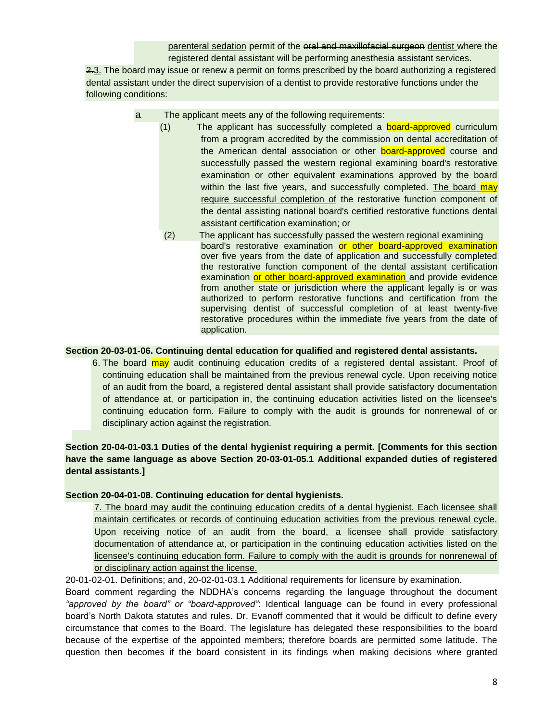parenteral sedation permit of the oral and maxillofacial surgeon dentist where the registered dental assistant will be performing anesthesia assistant services.

2.3. The board may issue or renew a permit on forms prescribed by the board authorizing a registered dental assistant under the direct supervision of a dentist to provide restorative functions under the following conditions:

- a. The applicant meets any of the following requirements:
	- (1) The applicant has successfully completed a **board-approved** curriculum from a program accredited by the commission on dental accreditation of the American dental association or other board-approved course and successfully passed the western regional examining board's restorative examination or other equivalent examinations approved by the board within the last five years, and successfully completed. The board may require successful completion of the restorative function component of the dental assisting national board's certified restorative functions dental assistant certification examination; or
		- (2) The applicant has successfully passed the western regional examining board's restorative examination or other board-approved examination over five years from the date of application and successfully completed the restorative function component of the dental assistant certification examination or other board-approved examination and provide evidence from another state or jurisdiction where the applicant legally is or was authorized to perform restorative functions and certification from the supervising dentist of successful completion of at least twenty-five restorative procedures within the immediate five years from the date of application.

#### **Section 20-03-01-06. Continuing dental education for qualified and registered dental assistants.**

6. The board may audit continuing education credits of a registered dental assistant. Proof of continuing education shall be maintained from the previous renewal cycle. Upon receiving notice of an audit from the board, a registered dental assistant shall provide satisfactory documentation of attendance at, or participation in, the continuing education activities listed on the licensee's continuing education form. Failure to comply with the audit is grounds for nonrenewal of or disciplinary action against the registration.

#### **Section 20-04-01-03.1 Duties of the dental hygienist requiring a permit. [Comments for this section have the same language as above Section 20-03-01-05.1 Additional expanded duties of registered dental assistants.]**

#### **Section 20-04-01-08. Continuing education for dental hygienists.**

7. The board may audit the continuing education credits of a dental hygienist. Each licensee shall maintain certificates or records of continuing education activities from the previous renewal cycle. Upon receiving notice of an audit from the board, a licensee shall provide satisfactory documentation of attendance at, or participation in the continuing education activities listed on the licensee's continuing education form. Failure to comply with the audit is grounds for nonrenewal of or disciplinary action against the license.

20-01-02-01. Definitions; and, 20-02-01-03.1 Additional requirements for licensure by examination.

Board comment regarding the NDDHA's concerns regarding the language throughout the document *"approved by the board" or "board-approved"*: Identical language can be found in every professional board's North Dakota statutes and rules. Dr. Evanoff commented that it would be difficult to define every circumstance that comes to the Board. The legislature has delegated these responsibilities to the board because of the expertise of the appointed members; therefore boards are permitted some latitude. The question then becomes if the board consistent in its findings when making decisions where granted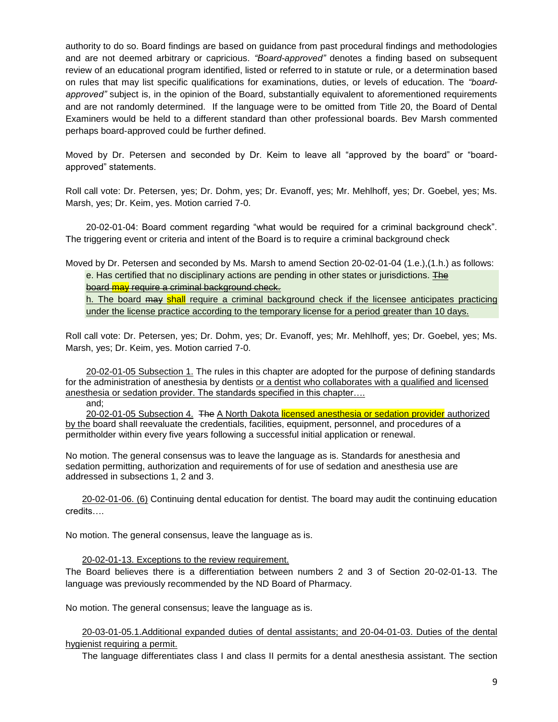authority to do so. Board findings are based on guidance from past procedural findings and methodologies and are not deemed arbitrary or capricious. *"Board-approved"* denotes a finding based on subsequent review of an educational program identified, listed or referred to in statute or rule, or a determination based on rules that may list specific qualifications for examinations, duties, or levels of education. The *"boardapproved"* subject is, in the opinion of the Board, substantially equivalent to aforementioned requirements and are not randomly determined. If the language were to be omitted from Title 20, the Board of Dental Examiners would be held to a different standard than other professional boards. Bev Marsh commented perhaps board-approved could be further defined.

Moved by Dr. Petersen and seconded by Dr. Keim to leave all "approved by the board" or "boardapproved" statements.

Roll call vote: Dr. Petersen, yes; Dr. Dohm, yes; Dr. Evanoff, yes; Mr. Mehlhoff, yes; Dr. Goebel, yes; Ms. Marsh, yes; Dr. Keim, yes. Motion carried 7-0.

20-02-01-04: Board comment regarding "what would be required for a criminal background check". The triggering event or criteria and intent of the Board is to require a criminal background check

Moved by Dr. Petersen and seconded by Ms. Marsh to amend Section 20-02-01-04 (1.e.),(1.h.) as follows: e. Has certified that no disciplinary actions are pending in other states or jurisdictions. The board may require a criminal background check.

h. The board may shall require a criminal background check if the licensee anticipates practicing under the license practice according to the temporary license for a period greater than 10 days.

Roll call vote: Dr. Petersen, yes; Dr. Dohm, yes; Dr. Evanoff, yes; Mr. Mehlhoff, yes; Dr. Goebel, yes; Ms. Marsh, yes; Dr. Keim, yes. Motion carried 7-0.

20-02-01-05 Subsection 1. The rules in this chapter are adopted for the purpose of defining standards for the administration of anesthesia by dentists or a dentist who collaborates with a qualified and licensed anesthesia or sedation provider. The standards specified in this chapter….

and;

20-02-01-05 Subsection 4. The A North Dakota licensed anesthesia or sedation provider authorized by the board shall reevaluate the credentials, facilities, equipment, personnel, and procedures of a permitholder within every five years following a successful initial application or renewal.

No motion. The general consensus was to leave the language as is. Standards for anesthesia and sedation permitting, authorization and requirements of for use of sedation and anesthesia use are addressed in subsections 1, 2 and 3.

20-02-01-06. (6) Continuing dental education for dentist. The board may audit the continuing education credits….

No motion. The general consensus, leave the language as is.

20-02-01-13. Exceptions to the review requirement.

The Board believes there is a differentiation between numbers 2 and 3 of Section 20-02-01-13. The language was previously recommended by the ND Board of Pharmacy.

No motion. The general consensus; leave the language as is.

20-03-01-05.1.Additional expanded duties of dental assistants; and 20-04-01-03. Duties of the dental hygienist requiring a permit.

The language differentiates class I and class II permits for a dental anesthesia assistant. The section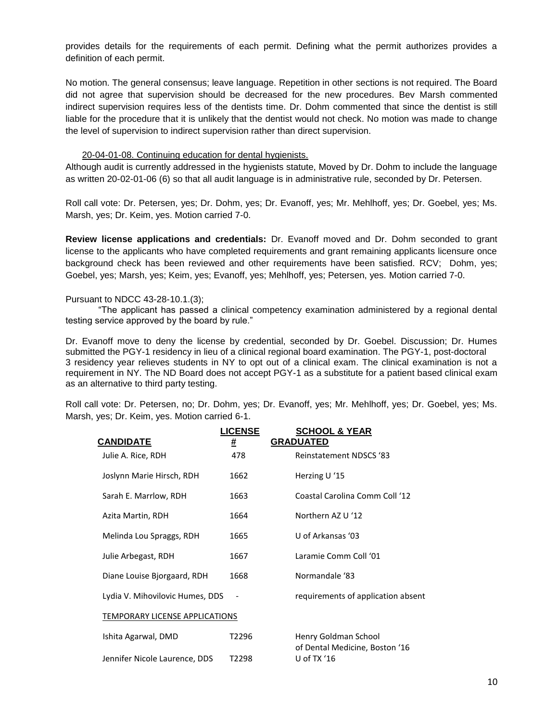provides details for the requirements of each permit. Defining what the permit authorizes provides a definition of each permit.

No motion. The general consensus; leave language. Repetition in other sections is not required. The Board did not agree that supervision should be decreased for the new procedures. Bev Marsh commented indirect supervision requires less of the dentists time. Dr. Dohm commented that since the dentist is still liable for the procedure that it is unlikely that the dentist would not check. No motion was made to change the level of supervision to indirect supervision rather than direct supervision.

#### 20-04-01-08. Continuing education for dental hygienists.

Although audit is currently addressed in the hygienists statute, Moved by Dr. Dohm to include the language as written 20-02-01-06 (6) so that all audit language is in administrative rule, seconded by Dr. Petersen.

Roll call vote: Dr. Petersen, yes; Dr. Dohm, yes; Dr. Evanoff, yes; Mr. Mehlhoff, yes; Dr. Goebel, yes; Ms. Marsh, yes; Dr. Keim, yes. Motion carried 7-0.

**Review license applications and credentials:** Dr. Evanoff moved and Dr. Dohm seconded to grant license to the applicants who have completed requirements and grant remaining applicants licensure once background check has been reviewed and other requirements have been satisfied. RCV; Dohm, yes; Goebel, yes; Marsh, yes; Keim, yes; Evanoff, yes; Mehlhoff, yes; Petersen, yes. Motion carried 7-0.

#### Pursuant to NDCC 43-28-10.1.(3);

"The applicant has passed a clinical competency examination administered by a regional dental testing service approved by the board by rule."

Dr. Evanoff move to deny the license by credential, seconded by Dr. Goebel. Discussion; Dr. Humes submitted the PGY-1 residency in lieu of a clinical regional board examination. The PGY-1, post-doctoral 3 residency year relieves students in NY to opt out of a clinical exam. The clinical examination is not a requirement in NY. The ND Board does not accept PGY-1 as a substitute for a patient based clinical exam as an alternative to third party testing.

Roll call vote: Dr. Petersen, no; Dr. Dohm, yes; Dr. Evanoff, yes; Mr. Mehlhoff, yes; Dr. Goebel, yes; Ms. Marsh, yes; Dr. Keim, yes. Motion carried 6-1.

| <b>CANDIDATE</b>                | <b>LICENSE</b><br># | <b>SCHOOL &amp; YEAR</b><br><b>GRADUATED</b>  |
|---------------------------------|---------------------|-----------------------------------------------|
| Julie A. Rice, RDH              | 478                 | <b>Reinstatement NDSCS '83</b>                |
| Joslynn Marie Hirsch, RDH       | 1662                | Herzing U '15                                 |
| Sarah E. Marrlow, RDH           | 1663                | Coastal Carolina Comm Coll '12                |
| Azita Martin, RDH               | 1664                | Northern AZ U '12                             |
| Melinda Lou Spraggs, RDH        | 1665                | U of Arkansas '03                             |
| Julie Arbegast, RDH             | 1667                | Laramie Comm Coll '01                         |
| Diane Louise Bjorgaard, RDH     | 1668                | Normandale '83                                |
| Lydia V. Mihovilovic Humes, DDS | $\overline{a}$      | requirements of application absent            |
| TEMPORARY LICENSE APPLICATIONS  |                     |                                               |
| Ishita Agarwal, DMD             | T2296               | Henry Goldman School                          |
| Jennifer Nicole Laurence, DDS   | T2298               | of Dental Medicine, Boston '16<br>U of TX '16 |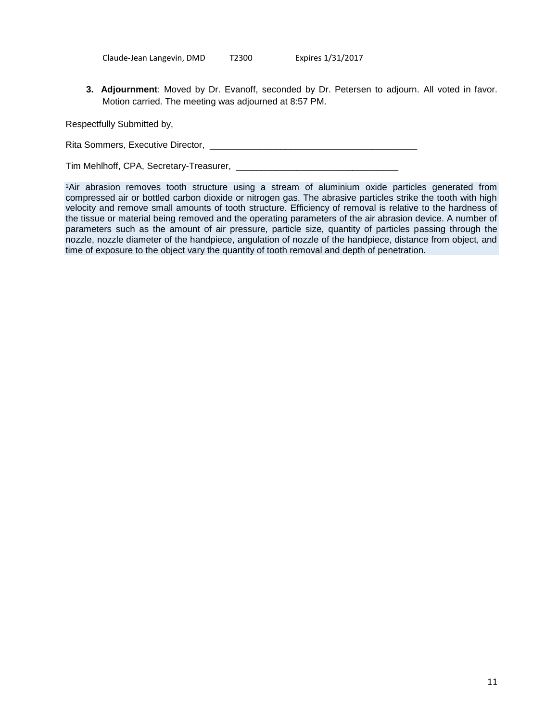Claude-Jean Langevin, DMD T2300 Expires 1/31/2017

**3. Adjournment**: Moved by Dr. Evanoff, seconded by Dr. Petersen to adjourn. All voted in favor. Motion carried. The meeting was adjourned at 8:57 PM.

Respectfully Submitted by,

Rita Sommers, Executive Director, \_\_\_\_\_\_\_\_\_\_\_\_\_\_\_\_\_\_\_\_\_\_\_\_\_\_\_\_\_\_\_\_\_\_\_\_\_\_\_\_\_

Tim Mehlhoff, CPA, Secretary-Treasurer, \_\_\_\_\_\_\_\_\_\_\_\_\_\_\_\_\_\_\_\_\_\_\_\_\_\_\_\_\_\_\_\_

1Air abrasion removes tooth structure using a stream of aluminium oxide particles generated from compressed air or bottled carbon dioxide or nitrogen gas. The abrasive particles strike the tooth with high velocity and remove small amounts of tooth structure. Efficiency of removal is relative to the hardness of the tissue or material being removed and the operating parameters of the air abrasion device. A number of parameters such as the amount of air pressure, particle size, quantity of particles passing through the nozzle, nozzle diameter of the handpiece, angulation of nozzle of the handpiece, distance from object, and time of exposure to the object vary the quantity of tooth removal and depth of penetration.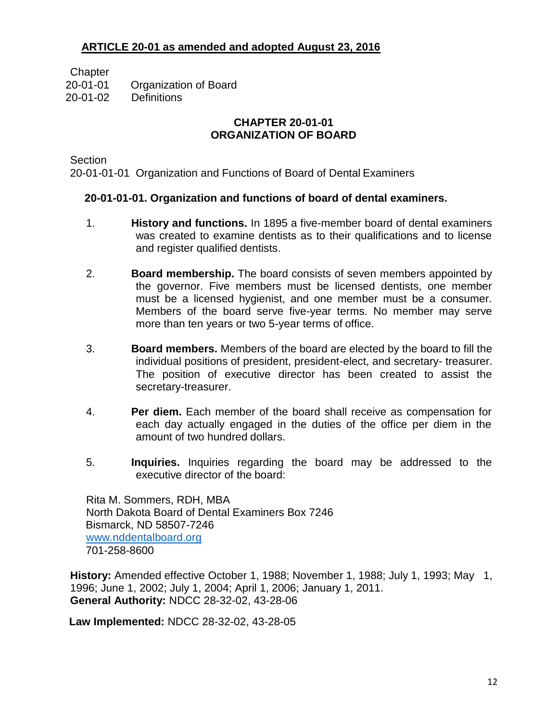# **ARTICLE 20-01 as amended and adopted August 23, 2016**

**Chapter** 

20-01-01 Organization of Board

20-01-02 Definitions

## **CHAPTER 20-01-01 ORGANIZATION OF BOARD**

**Section** 

20-01-01-01 Organization and Functions of Board of Dental Examiners

# **20-01-01-01. Organization and functions of board of dental examiners.**

- 1. **History and functions.** In 1895 a five-member board of dental examiners was created to examine dentists as to their qualifications and to license and register qualified dentists.
- 2. **Board membership.** The board consists of seven members appointed by the governor. Five members must be licensed dentists, one member must be a licensed hygienist, and one member must be a consumer. Members of the board serve five-year terms. No member may serve more than ten years or two 5-year terms of office.
- 3. **Board members.** Members of the board are elected by the board to fill the individual positions of president, president-elect, and secretary- treasurer. The position of executive director has been created to assist the secretary-treasurer.
- 4. **Per diem.** Each member of the board shall receive as compensation for each day actually engaged in the duties of the office per diem in the amount of two hundred dollars.
- 5. **Inquiries.** Inquiries regarding the board may be addressed to the executive director of the board:

Rita M. Sommers, RDH, MBA North Dakota Board of Dental Examiners Box 7246 Bismarck, ND 58507-7246 [www.nddentalboard.org](http://www.nddentalboard.org/) 701-258-8600

**History:** Amended effective October 1, 1988; November 1, 1988; July 1, 1993; May 1, 1996; June 1, 2002; July 1, 2004; April 1, 2006; January 1, 2011. **General Authority:** NDCC 28-32-02, 43-28-06

**Law Implemented:** NDCC 28-32-02, 43-28-05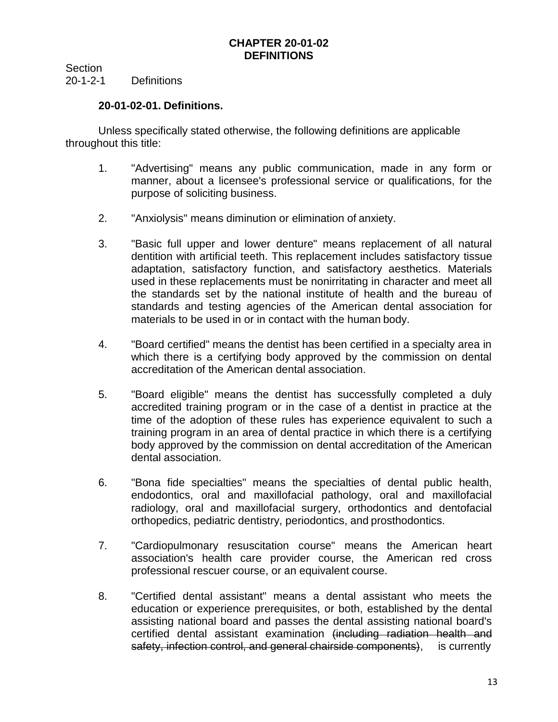Section 20-1-2-1 Definitions

## **20-01-02-01. Definitions.**

Unless specifically stated otherwise, the following definitions are applicable throughout this title:

- 1. "Advertising" means any public communication, made in any form or manner, about a licensee's professional service or qualifications, for the purpose of soliciting business.
- 2. "Anxiolysis" means diminution or elimination of anxiety.
- 3. "Basic full upper and lower denture" means replacement of all natural dentition with artificial teeth. This replacement includes satisfactory tissue adaptation, satisfactory function, and satisfactory aesthetics. Materials used in these replacements must be nonirritating in character and meet all the standards set by the national institute of health and the bureau of standards and testing agencies of the American dental association for materials to be used in or in contact with the human body.
- 4. "Board certified" means the dentist has been certified in a specialty area in which there is a certifying body approved by the commission on dental accreditation of the American dental association.
- 5. "Board eligible" means the dentist has successfully completed a duly accredited training program or in the case of a dentist in practice at the time of the adoption of these rules has experience equivalent to such a training program in an area of dental practice in which there is a certifying body approved by the commission on dental accreditation of the American dental association.
- 6. "Bona fide specialties" means the specialties of dental public health, endodontics, oral and maxillofacial pathology, oral and maxillofacial radiology, oral and maxillofacial surgery, orthodontics and dentofacial orthopedics, pediatric dentistry, periodontics, and prosthodontics.
- 7. "Cardiopulmonary resuscitation course" means the American heart association's health care provider course, the American red cross professional rescuer course, or an equivalent course.
- 8. "Certified dental assistant" means a dental assistant who meets the education or experience prerequisites, or both, established by the dental assisting national board and passes the dental assisting national board's certified dental assistant examination (including radiation health and safety, infection control, and general chairside components), is currently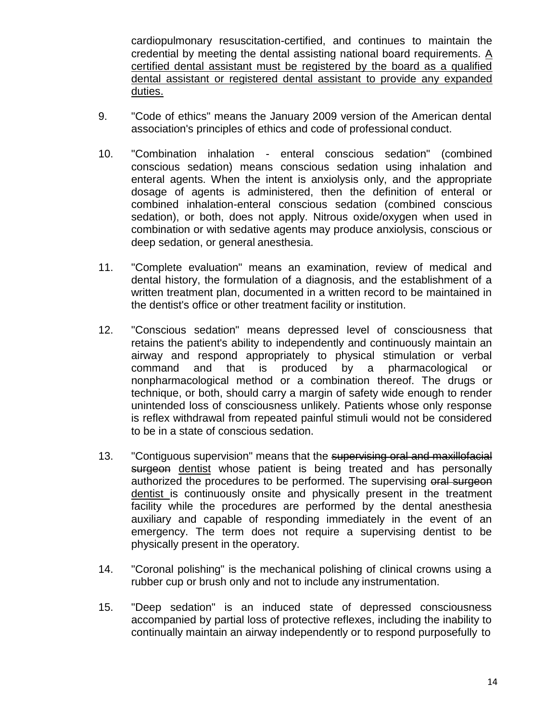cardiopulmonary resuscitation-certified, and continues to maintain the credential by meeting the dental assisting national board requirements. A certified dental assistant must be registered by the board as a qualified dental assistant or registered dental assistant to provide any expanded duties.

- 9. "Code of ethics" means the January 2009 version of the American dental association's principles of ethics and code of professional conduct.
- 10. "Combination inhalation enteral conscious sedation" (combined conscious sedation) means conscious sedation using inhalation and enteral agents. When the intent is anxiolysis only, and the appropriate dosage of agents is administered, then the definition of enteral or combined inhalation-enteral conscious sedation (combined conscious sedation), or both, does not apply. Nitrous oxide/oxygen when used in combination or with sedative agents may produce anxiolysis, conscious or deep sedation, or general anesthesia.
- 11. "Complete evaluation" means an examination, review of medical and dental history, the formulation of a diagnosis, and the establishment of a written treatment plan, documented in a written record to be maintained in the dentist's office or other treatment facility or institution.
- 12. "Conscious sedation" means depressed level of consciousness that retains the patient's ability to independently and continuously maintain an airway and respond appropriately to physical stimulation or verbal command and that is produced by a pharmacological or nonpharmacological method or a combination thereof. The drugs or technique, or both, should carry a margin of safety wide enough to render unintended loss of consciousness unlikely. Patients whose only response is reflex withdrawal from repeated painful stimuli would not be considered to be in a state of conscious sedation.
- 13. "Contiguous supervision" means that the supervising oral and maxillofacial surgeon dentist whose patient is being treated and has personally authorized the procedures to be performed. The supervising oral surgeon dentist is continuously onsite and physically present in the treatment facility while the procedures are performed by the dental anesthesia auxiliary and capable of responding immediately in the event of an emergency. The term does not require a supervising dentist to be physically present in the operatory.
- 14. "Coronal polishing" is the mechanical polishing of clinical crowns using a rubber cup or brush only and not to include any instrumentation.
- 15. "Deep sedation" is an induced state of depressed consciousness accompanied by partial loss of protective reflexes, including the inability to continually maintain an airway independently or to respond purposefully to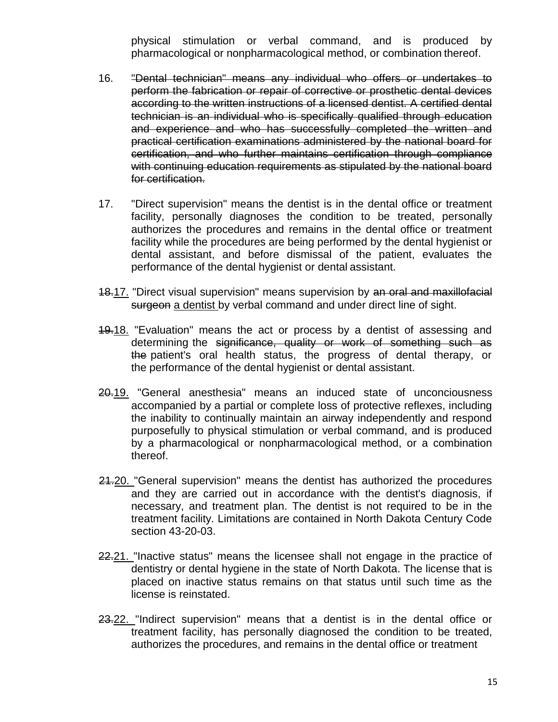physical stimulation or verbal command, and is produced by pharmacological or nonpharmacological method, or combination thereof.

- 16. "Dental technician" means any individual who offers or undertakes to perform the fabrication or repair of corrective or prosthetic dental devices according to the written instructions of a licensed dentist. A certified dental technician is an individual who is specifically qualified through education and experience and who has successfully completed the written and practical certification examinations administered by the national board for certification, and who further maintains certification through compliance with continuing education requirements as stipulated by the national board for certification.
- 17. "Direct supervision" means the dentist is in the dental office or treatment facility, personally diagnoses the condition to be treated, personally authorizes the procedures and remains in the dental office or treatment facility while the procedures are being performed by the dental hygienist or dental assistant, and before dismissal of the patient, evaluates the performance of the dental hygienist or dental assistant.
- 18.17. "Direct visual supervision" means supervision by an oral and maxillofacial surgeon a dentist by verbal command and under direct line of sight.
- 19.18. "Evaluation" means the act or process by a dentist of assessing and determining the significance, quality or work of something such as the patient's oral health status, the progress of dental therapy, or the performance of the dental hygienist or dental assistant.
- 20.19. "General anesthesia" means an induced state of unconciousness accompanied by a partial or complete loss of protective reflexes, including the inability to continually maintain an airway independently and respond purposefully to physical stimulation or verbal command, and is produced by a pharmacological or nonpharmacological method, or a combination thereof.
- 21.20. "General supervision" means the dentist has authorized the procedures and they are carried out in accordance with the dentist's diagnosis, if necessary, and treatment plan. The dentist is not required to be in the treatment facility. Limitations are contained in North Dakota Century Code section 43-20-03.
- 22.21. "Inactive status" means the licensee shall not engage in the practice of dentistry or dental hygiene in the state of North Dakota. The license that is placed on inactive status remains on that status until such time as the license is reinstated.
- 23.22. "Indirect supervision" means that a dentist is in the dental office or treatment facility, has personally diagnosed the condition to be treated, authorizes the procedures, and remains in the dental office or treatment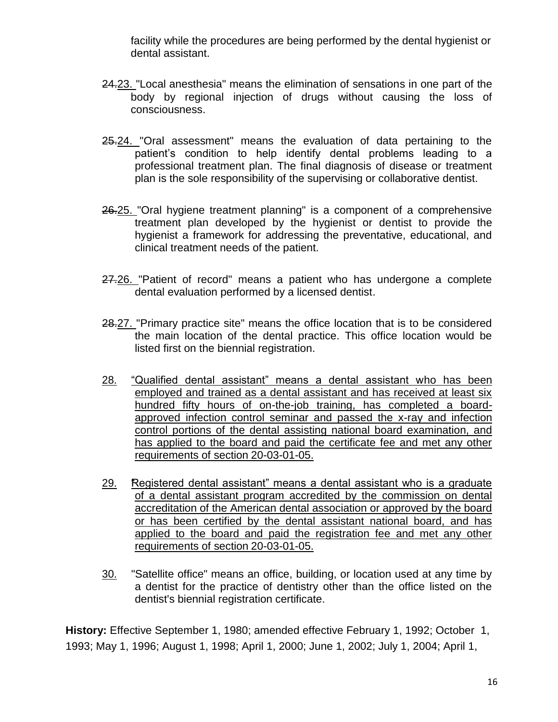facility while the procedures are being performed by the dental hygienist or dental assistant.

- 24.23. "Local anesthesia" means the elimination of sensations in one part of the body by regional injection of drugs without causing the loss of consciousness.
- 25.24. "Oral assessment" means the evaluation of data pertaining to the patient's condition to help identify dental problems leading to a professional treatment plan. The final diagnosis of disease or treatment plan is the sole responsibility of the supervising or collaborative dentist.
- 26.25. "Oral hygiene treatment planning" is a component of a comprehensive treatment plan developed by the hygienist or dentist to provide the hygienist a framework for addressing the preventative, educational, and clinical treatment needs of the patient.
- 27.26. "Patient of record" means a patient who has undergone a complete dental evaluation performed by a licensed dentist.
- 28.27. "Primary practice site" means the office location that is to be considered the main location of the dental practice. This office location would be listed first on the biennial registration.
- 28. "Qualified dental assistant" means a dental assistant who has been employed and trained as a dental assistant and has received at least six hundred fifty hours of on-the-job training, has completed a boardapproved infection control seminar and passed the x-ray and infection control portions of the dental assisting national board examination, and has applied to the board and paid the certificate fee and met any other requirements of section 20-03-01-05.
- 29. "Registered dental assistant" means a dental assistant who is a graduate of a dental assistant program accredited by the commission on dental accreditation of the American dental association or approved by the board or has been certified by the dental assistant national board, and has applied to the board and paid the registration fee and met any other requirements of section 20-03-01-05.
- 30. "Satellite office" means an office, building, or location used at any time by a dentist for the practice of dentistry other than the office listed on the dentist's biennial registration certificate.

**History:** Effective September 1, 1980; amended effective February 1, 1992; October 1, 1993; May 1, 1996; August 1, 1998; April 1, 2000; June 1, 2002; July 1, 2004; April 1,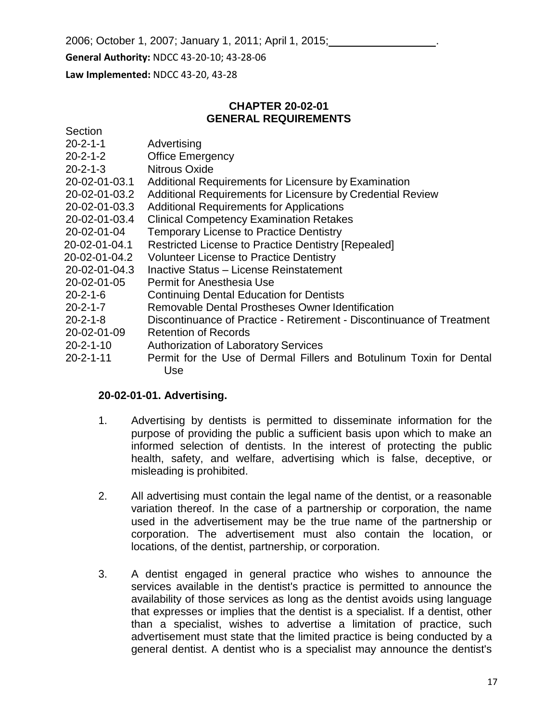2006; October 1, 2007; January 1, 2011; April 1, 2015; .

**General Authority:** NDCC 43-20-10; 43-28-06

**Law Implemented:** NDCC 43-20, 43-28

Section

### **CHAPTER 20-02-01 GENERAL REQUIREMENTS**

| $20 - 2 - 1 - 1$  | Advertising                                                           |
|-------------------|-----------------------------------------------------------------------|
| $20 - 2 - 1 - 2$  | <b>Office Emergency</b>                                               |
| $20 - 2 - 1 - 3$  | Nitrous Oxide                                                         |
| 20-02-01-03.1     | Additional Requirements for Licensure by Examination                  |
| 20-02-01-03.2     | Additional Requirements for Licensure by Credential Review            |
| 20-02-01-03.3     | <b>Additional Requirements for Applications</b>                       |
| 20-02-01-03.4     | <b>Clinical Competency Examination Retakes</b>                        |
| 20-02-01-04       | <b>Temporary License to Practice Dentistry</b>                        |
| 20-02-01-04.1     | <b>Restricted License to Practice Dentistry [Repealed]</b>            |
| 20-02-01-04.2     | <b>Volunteer License to Practice Dentistry</b>                        |
| 20-02-01-04.3     | Inactive Status - License Reinstatement                               |
| 20-02-01-05       | Permit for Anesthesia Use                                             |
| $20 - 2 - 1 - 6$  | <b>Continuing Dental Education for Dentists</b>                       |
| $20 - 2 - 1 - 7$  | Removable Dental Prostheses Owner Identification                      |
| $20 - 2 - 1 - 8$  | Discontinuance of Practice - Retirement - Discontinuance of Treatment |
| 20-02-01-09       | <b>Retention of Records</b>                                           |
| $20 - 2 - 1 - 10$ | <b>Authorization of Laboratory Services</b>                           |
| $20 - 2 - 1 - 11$ | Permit for the Use of Dermal Fillers and Botulinum Toxin for Dental   |
|                   | Use                                                                   |

### **20-02-01-01. Advertising.**

- 1. Advertising by dentists is permitted to disseminate information for the purpose of providing the public a sufficient basis upon which to make an informed selection of dentists. In the interest of protecting the public health, safety, and welfare, advertising which is false, deceptive, or misleading is prohibited.
- 2. All advertising must contain the legal name of the dentist, or a reasonable variation thereof. In the case of a partnership or corporation, the name used in the advertisement may be the true name of the partnership or corporation. The advertisement must also contain the location, or locations, of the dentist, partnership, or corporation.
- 3. A dentist engaged in general practice who wishes to announce the services available in the dentist's practice is permitted to announce the availability of those services as long as the dentist avoids using language that expresses or implies that the dentist is a specialist. If a dentist, other than a specialist, wishes to advertise a limitation of practice, such advertisement must state that the limited practice is being conducted by a general dentist. A dentist who is a specialist may announce the dentist's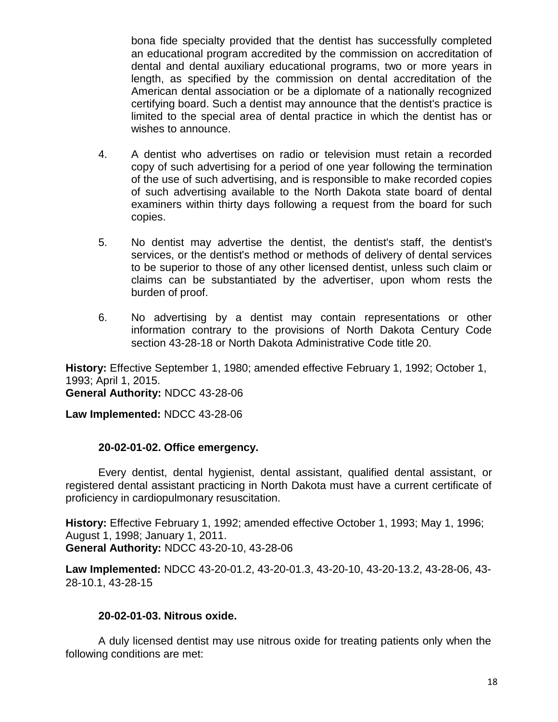bona fide specialty provided that the dentist has successfully completed an educational program accredited by the commission on accreditation of dental and dental auxiliary educational programs, two or more years in length, as specified by the commission on dental accreditation of the American dental association or be a diplomate of a nationally recognized certifying board. Such a dentist may announce that the dentist's practice is limited to the special area of dental practice in which the dentist has or wishes to announce.

- 4. A dentist who advertises on radio or television must retain a recorded copy of such advertising for a period of one year following the termination of the use of such advertising, and is responsible to make recorded copies of such advertising available to the North Dakota state board of dental examiners within thirty days following a request from the board for such copies.
- 5. No dentist may advertise the dentist, the dentist's staff, the dentist's services, or the dentist's method or methods of delivery of dental services to be superior to those of any other licensed dentist, unless such claim or claims can be substantiated by the advertiser, upon whom rests the burden of proof.
- 6. No advertising by a dentist may contain representations or other information contrary to the provisions of North Dakota Century Code section 43-28-18 or North Dakota Administrative Code title 20.

**History:** Effective September 1, 1980; amended effective February 1, 1992; October 1, 1993; April 1, 2015.

**General Authority:** NDCC 43-28-06

**Law Implemented:** NDCC 43-28-06

### **20-02-01-02. Office emergency.**

Every dentist, dental hygienist, dental assistant, qualified dental assistant, or registered dental assistant practicing in North Dakota must have a current certificate of proficiency in cardiopulmonary resuscitation.

**History:** Effective February 1, 1992; amended effective October 1, 1993; May 1, 1996; August 1, 1998; January 1, 2011. **General Authority:** NDCC 43-20-10, 43-28-06

**Law Implemented:** NDCC 43-20-01.2, 43-20-01.3, 43-20-10, 43-20-13.2, 43-28-06, 43- 28-10.1, 43-28-15

### **20-02-01-03. Nitrous oxide.**

A duly licensed dentist may use nitrous oxide for treating patients only when the following conditions are met: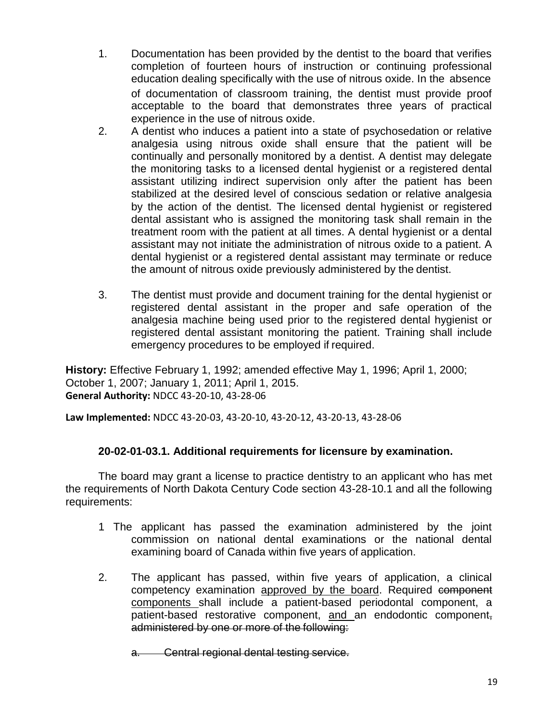- 1. Documentation has been provided by the dentist to the board that verifies completion of fourteen hours of instruction or continuing professional education dealing specifically with the use of nitrous oxide. In the absence of documentation of classroom training, the dentist must provide proof acceptable to the board that demonstrates three years of practical experience in the use of nitrous oxide.
- 2. A dentist who induces a patient into a state of psychosedation or relative analgesia using nitrous oxide shall ensure that the patient will be continually and personally monitored by a dentist. A dentist may delegate the monitoring tasks to a licensed dental hygienist or a registered dental assistant utilizing indirect supervision only after the patient has been stabilized at the desired level of conscious sedation or relative analgesia by the action of the dentist. The licensed dental hygienist or registered dental assistant who is assigned the monitoring task shall remain in the treatment room with the patient at all times. A dental hygienist or a dental assistant may not initiate the administration of nitrous oxide to a patient. A dental hygienist or a registered dental assistant may terminate or reduce the amount of nitrous oxide previously administered by the dentist.
- 3. The dentist must provide and document training for the dental hygienist or registered dental assistant in the proper and safe operation of the analgesia machine being used prior to the registered dental hygienist or registered dental assistant monitoring the patient. Training shall include emergency procedures to be employed if required.

**History:** Effective February 1, 1992; amended effective May 1, 1996; April 1, 2000; October 1, 2007; January 1, 2011; April 1, 2015. **General Authority:** NDCC 43-20-10, 43-28-06

**Law Implemented:** NDCC 43-20-03, 43-20-10, 43-20-12, 43-20-13, 43-28-06

# **20-02-01-03.1. Additional requirements for licensure by examination.**

The board may grant a license to practice dentistry to an applicant who has met the requirements of North Dakota Century Code section 43-28-10.1 and all the following requirements:

- 1 The applicant has passed the examination administered by the joint commission on national dental examinations or the national dental examining board of Canada within five years of application.
- 2. The applicant has passed, within five years of application, a clinical competency examination approved by the board. Required component components shall include a patient-based periodontal component, a patient-based restorative component, and an endodontic component, administered by one or more of the following:

a. Central regional dental testing service.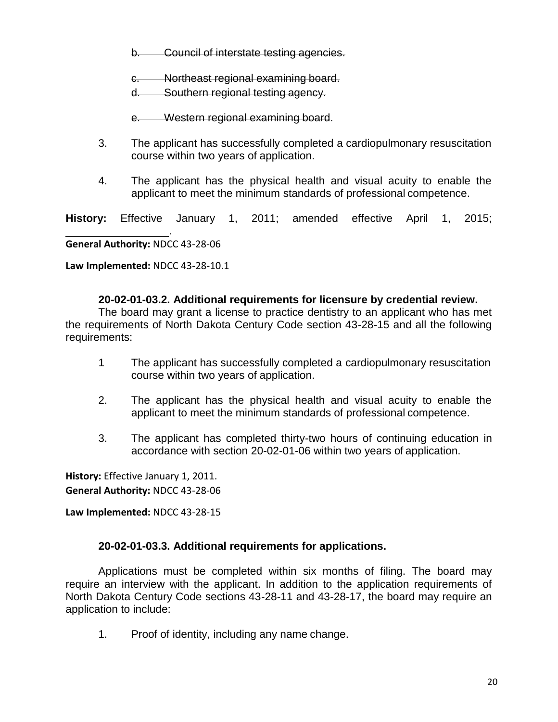b. Council of interstate testing agencies.

c. Northeast regional examining board.

d. Southern regional testing agency.

e. Western regional examining board.

- 3. The applicant has successfully completed a cardiopulmonary resuscitation course within two years of application.
- 4. The applicant has the physical health and visual acuity to enable the applicant to meet the minimum standards of professional competence.

**History:** Effective January 1, 2011; amended effective April 1, 2015;

**General Authority:** NDCC 43-28-06

.

**Law Implemented:** NDCC 43-28-10.1

### **20-02-01-03.2. Additional requirements for licensure by credential review.**

The board may grant a license to practice dentistry to an applicant who has met the requirements of North Dakota Century Code section 43-28-15 and all the following requirements:

- 1 The applicant has successfully completed a cardiopulmonary resuscitation course within two years of application.
- 2. The applicant has the physical health and visual acuity to enable the applicant to meet the minimum standards of professional competence.
- 3. The applicant has completed thirty-two hours of continuing education in accordance with section 20-02-01-06 within two years of application.

**History:** Effective January 1, 2011. **General Authority:** NDCC 43-28-06

**Law Implemented:** NDCC 43-28-15

### **20-02-01-03.3. Additional requirements for applications.**

Applications must be completed within six months of filing. The board may require an interview with the applicant. In addition to the application requirements of North Dakota Century Code sections 43-28-11 and 43-28-17, the board may require an application to include:

1. Proof of identity, including any name change.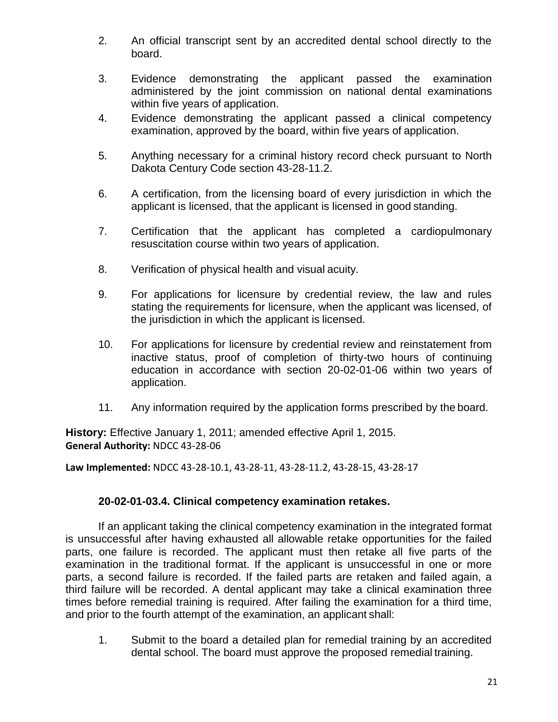- 2. An official transcript sent by an accredited dental school directly to the board.
- 3. Evidence demonstrating the applicant passed the examination administered by the joint commission on national dental examinations within five years of application.
- 4. Evidence demonstrating the applicant passed a clinical competency examination, approved by the board, within five years of application.
- 5. Anything necessary for a criminal history record check pursuant to North Dakota Century Code section 43-28-11.2.
- 6. A certification, from the licensing board of every jurisdiction in which the applicant is licensed, that the applicant is licensed in good standing.
- 7. Certification that the applicant has completed a cardiopulmonary resuscitation course within two years of application.
- 8. Verification of physical health and visual acuity.
- 9. For applications for licensure by credential review, the law and rules stating the requirements for licensure, when the applicant was licensed, of the jurisdiction in which the applicant is licensed.
- 10. For applications for licensure by credential review and reinstatement from inactive status, proof of completion of thirty-two hours of continuing education in accordance with section 20-02-01-06 within two years of application.
- 11. Any information required by the application forms prescribed by the board.

**History:** Effective January 1, 2011; amended effective April 1, 2015. **General Authority:** NDCC 43-28-06

**Law Implemented:** NDCC 43-28-10.1, 43-28-11, 43-28-11.2, 43-28-15, 43-28-17

# **20-02-01-03.4. Clinical competency examination retakes.**

If an applicant taking the clinical competency examination in the integrated format is unsuccessful after having exhausted all allowable retake opportunities for the failed parts, one failure is recorded. The applicant must then retake all five parts of the examination in the traditional format. If the applicant is unsuccessful in one or more parts, a second failure is recorded. If the failed parts are retaken and failed again, a third failure will be recorded. A dental applicant may take a clinical examination three times before remedial training is required. After failing the examination for a third time, and prior to the fourth attempt of the examination, an applicant shall:

1. Submit to the board a detailed plan for remedial training by an accredited dental school. The board must approve the proposed remedial training.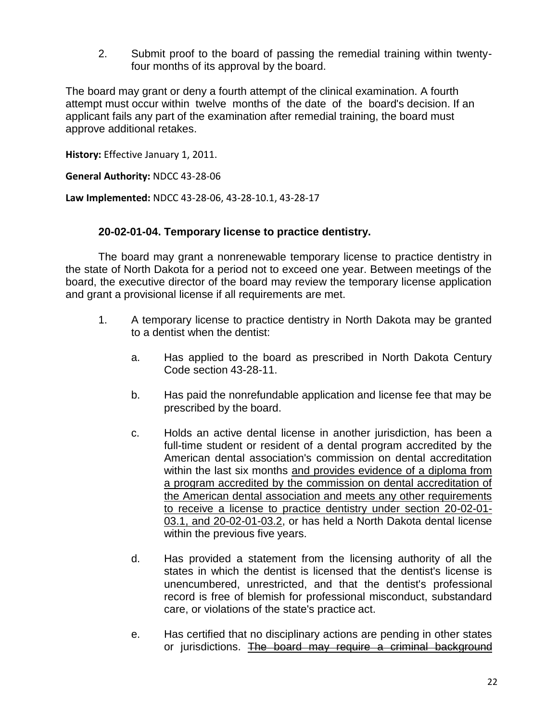2. Submit proof to the board of passing the remedial training within twentyfour months of its approval by the board.

The board may grant or deny a fourth attempt of the clinical examination. A fourth attempt must occur within twelve months of the date of the board's decision. If an applicant fails any part of the examination after remedial training, the board must approve additional retakes.

**History:** Effective January 1, 2011.

**General Authority:** NDCC 43-28-06

**Law Implemented:** NDCC 43-28-06, 43-28-10.1, 43-28-17

### **20-02-01-04. Temporary license to practice dentistry.**

The board may grant a nonrenewable temporary license to practice dentistry in the state of North Dakota for a period not to exceed one year. Between meetings of the board, the executive director of the board may review the temporary license application and grant a provisional license if all requirements are met.

- 1. A temporary license to practice dentistry in North Dakota may be granted to a dentist when the dentist:
	- a. Has applied to the board as prescribed in North Dakota Century Code section 43-28-11.
	- b. Has paid the nonrefundable application and license fee that may be prescribed by the board.
	- c. Holds an active dental license in another jurisdiction, has been a full-time student or resident of a dental program accredited by the American dental association's commission on dental accreditation within the last six months and provides evidence of a diploma from a program accredited by the commission on dental accreditation of the American dental association and meets any other requirements to receive a license to practice dentistry under section 20-02-01- 03.1, and 20-02-01-03.2, or has held a North Dakota dental license within the previous five years.
	- d. Has provided a statement from the licensing authority of all the states in which the dentist is licensed that the dentist's license is unencumbered, unrestricted, and that the dentist's professional record is free of blemish for professional misconduct, substandard care, or violations of the state's practice act.
	- e. Has certified that no disciplinary actions are pending in other states or jurisdictions. The board may require a criminal background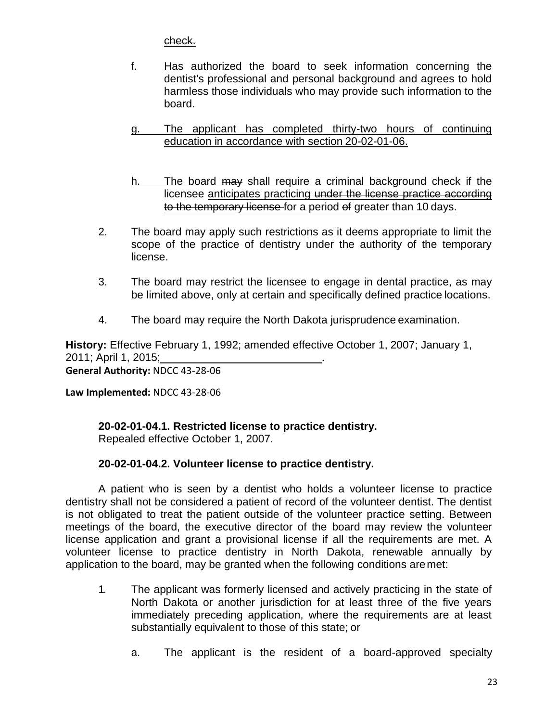check.

- f. Has authorized the board to seek information concerning the dentist's professional and personal background and agrees to hold harmless those individuals who may provide such information to the board.
- g. The applicant has completed thirty-two hours of continuing education in accordance with section 20-02-01-06.
- h. The board may shall require a criminal background check if the licensee anticipates practicing under the license practice according to the temporary license for a period of greater than 10 days.
- 2. The board may apply such restrictions as it deems appropriate to limit the scope of the practice of dentistry under the authority of the temporary license.
- 3. The board may restrict the licensee to engage in dental practice, as may be limited above, only at certain and specifically defined practice locations.
- 4. The board may require the North Dakota jurisprudence examination.

**History:** Effective February 1, 1992; amended effective October 1, 2007; January 1, 2011; April 1, 2015; . **General Authority:** NDCC 43-28-06

**Law Implemented:** NDCC 43-28-06

**20-02-01-04.1. Restricted license to practice dentistry.**

Repealed effective October 1, 2007.

# **20-02-01-04.2. Volunteer license to practice dentistry.**

A patient who is seen by a dentist who holds a volunteer license to practice dentistry shall not be considered a patient of record of the volunteer dentist. The dentist is not obligated to treat the patient outside of the volunteer practice setting. Between meetings of the board, the executive director of the board may review the volunteer license application and grant a provisional license if all the requirements are met. A volunteer license to practice dentistry in North Dakota, renewable annually by application to the board, may be granted when the following conditions aremet:

- 1. The applicant was formerly licensed and actively practicing in the state of North Dakota or another jurisdiction for at least three of the five years immediately preceding application, where the requirements are at least substantially equivalent to those of this state; or
	- a. The applicant is the resident of a board-approved specialty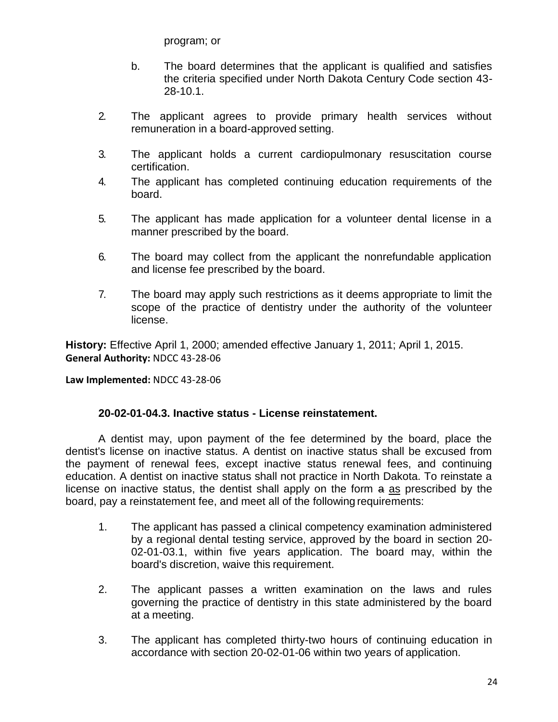program; or

- b. The board determines that the applicant is qualified and satisfies the criteria specified under North Dakota Century Code section 43- 28-10.1.
- 2. The applicant agrees to provide primary health services without remuneration in a board-approved setting.
- 3. The applicant holds a current cardiopulmonary resuscitation course certification.
- 4. The applicant has completed continuing education requirements of the board.
- 5. The applicant has made application for a volunteer dental license in a manner prescribed by the board.
- 6. The board may collect from the applicant the nonrefundable application and license fee prescribed by the board.
- 7. The board may apply such restrictions as it deems appropriate to limit the scope of the practice of dentistry under the authority of the volunteer license.

**History:** Effective April 1, 2000; amended effective January 1, 2011; April 1, 2015. **General Authority:** NDCC 43-28-06

**Law Implemented:** NDCC 43-28-06

### **20-02-01-04.3. Inactive status - License reinstatement.**

A dentist may, upon payment of the fee determined by the board, place the dentist's license on inactive status. A dentist on inactive status shall be excused from the payment of renewal fees, except inactive status renewal fees, and continuing education. A dentist on inactive status shall not practice in North Dakota. To reinstate a license on inactive status, the dentist shall apply on the form a as prescribed by the board, pay a reinstatement fee, and meet all of the following requirements:

- 1. The applicant has passed a clinical competency examination administered by a regional dental testing service, approved by the board in section 20- 02-01-03.1, within five years application. The board may, within the board's discretion, waive this requirement.
- 2. The applicant passes a written examination on the laws and rules governing the practice of dentistry in this state administered by the board at a meeting.
- 3. The applicant has completed thirty-two hours of continuing education in accordance with section 20-02-01-06 within two years of application.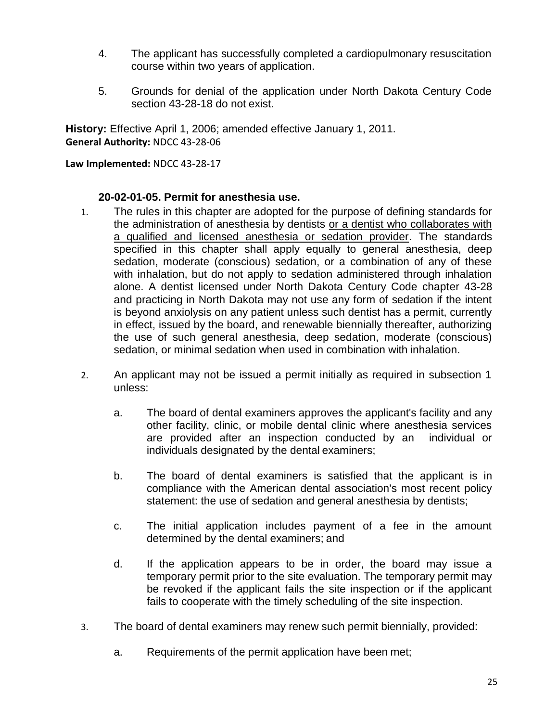- 4. The applicant has successfully completed a cardiopulmonary resuscitation course within two years of application.
- 5. Grounds for denial of the application under North Dakota Century Code section 43-28-18 do not exist.

**History:** Effective April 1, 2006; amended effective January 1, 2011. **General Authority:** NDCC 43-28-06

**Law Implemented:** NDCC 43-28-17

### **20-02-01-05. Permit for anesthesia use.**

- 1. The rules in this chapter are adopted for the purpose of defining standards for the administration of anesthesia by dentists or a dentist who collaborates with a qualified and licensed anesthesia or sedation provider. The standards specified in this chapter shall apply equally to general anesthesia, deep sedation, moderate (conscious) sedation, or a combination of any of these with inhalation, but do not apply to sedation administered through inhalation alone. A dentist licensed under North Dakota Century Code chapter 43-28 and practicing in North Dakota may not use any form of sedation if the intent is beyond anxiolysis on any patient unless such dentist has a permit, currently in effect, issued by the board, and renewable biennially thereafter, authorizing the use of such general anesthesia, deep sedation, moderate (conscious) sedation, or minimal sedation when used in combination with inhalation.
- 2. An applicant may not be issued a permit initially as required in subsection 1 unless:
	- a. The board of dental examiners approves the applicant's facility and any other facility, clinic, or mobile dental clinic where anesthesia services are provided after an inspection conducted by an individual or individuals designated by the dental examiners;
	- b. The board of dental examiners is satisfied that the applicant is in compliance with the American dental association's most recent policy statement: the use of sedation and general anesthesia by dentists;
	- c. The initial application includes payment of a fee in the amount determined by the dental examiners; and
	- d. If the application appears to be in order, the board may issue a temporary permit prior to the site evaluation. The temporary permit may be revoked if the applicant fails the site inspection or if the applicant fails to cooperate with the timely scheduling of the site inspection.
- 3. The board of dental examiners may renew such permit biennially, provided:
	- a. Requirements of the permit application have been met;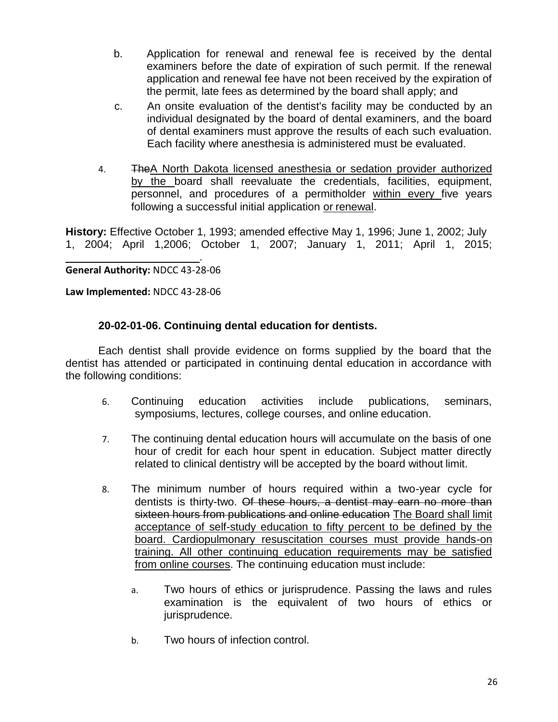- b. Application for renewal and renewal fee is received by the dental examiners before the date of expiration of such permit. If the renewal application and renewal fee have not been received by the expiration of the permit, late fees as determined by the board shall apply; and
- c. An onsite evaluation of the dentist's facility may be conducted by an individual designated by the board of dental examiners, and the board of dental examiners must approve the results of each such evaluation. Each facility where anesthesia is administered must be evaluated.
- 4. TheA North Dakota licensed anesthesia or sedation provider authorized by the board shall reevaluate the credentials, facilities, equipment, personnel, and procedures of a permitholder within every five years following a successful initial application or renewal.

**History:** Effective October 1, 1993; amended effective May 1, 1996; June 1, 2002; July 1, 2004; April 1,2006; October 1, 2007; January 1, 2011; April 1, 2015;

**General Authority:** NDCC 43-28-06

**Law Implemented:** NDCC 43-28-06

### **20-02-01-06. Continuing dental education for dentists.**

.

Each dentist shall provide evidence on forms supplied by the board that the dentist has attended or participated in continuing dental education in accordance with the following conditions:

- 6. Continuing education activities include publications, seminars, symposiums, lectures, college courses, and online education.
- 7. The continuing dental education hours will accumulate on the basis of one hour of credit for each hour spent in education. Subject matter directly related to clinical dentistry will be accepted by the board without limit.
- 8. The minimum number of hours required within a two-year cycle for dentists is thirty-two. Of these hours, a dentist may earn no more than sixteen hours from publications and online education The Board shall limit acceptance of self-study education to fifty percent to be defined by the board. Cardiopulmonary resuscitation courses must provide hands-on training. All other continuing education requirements may be satisfied from online courses. The continuing education must include:
	- a. Two hours of ethics or jurisprudence. Passing the laws and rules examination is the equivalent of two hours of ethics or jurisprudence.
	- b. Two hours of infection control.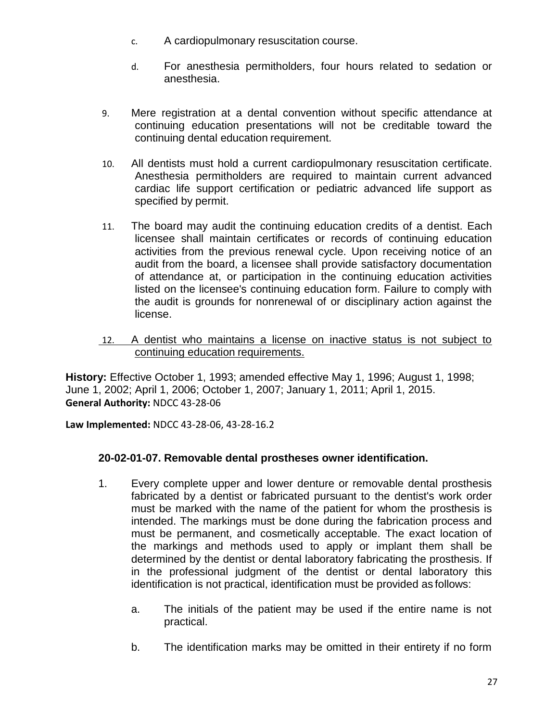- c. A cardiopulmonary resuscitation course.
- d. For anesthesia permitholders, four hours related to sedation or anesthesia.
- 9. Mere registration at a dental convention without specific attendance at continuing education presentations will not be creditable toward the continuing dental education requirement.
- 10. All dentists must hold a current cardiopulmonary resuscitation certificate. Anesthesia permitholders are required to maintain current advanced cardiac life support certification or pediatric advanced life support as specified by permit.
- 11. The board may audit the continuing education credits of a dentist. Each licensee shall maintain certificates or records of continuing education activities from the previous renewal cycle. Upon receiving notice of an audit from the board, a licensee shall provide satisfactory documentation of attendance at, or participation in the continuing education activities listed on the licensee's continuing education form. Failure to comply with the audit is grounds for nonrenewal of or disciplinary action against the license.
- 12. A dentist who maintains a license on inactive status is not subject to continuing education requirements.

**History:** Effective October 1, 1993; amended effective May 1, 1996; August 1, 1998; June 1, 2002; April 1, 2006; October 1, 2007; January 1, 2011; April 1, 2015. **General Authority:** NDCC 43-28-06

**Law Implemented:** NDCC 43-28-06, 43-28-16.2

# **20-02-01-07. Removable dental prostheses owner identification.**

- 1. Every complete upper and lower denture or removable dental prosthesis fabricated by a dentist or fabricated pursuant to the dentist's work order must be marked with the name of the patient for whom the prosthesis is intended. The markings must be done during the fabrication process and must be permanent, and cosmetically acceptable. The exact location of the markings and methods used to apply or implant them shall be determined by the dentist or dental laboratory fabricating the prosthesis. If in the professional judgment of the dentist or dental laboratory this identification is not practical, identification must be provided as follows:
	- a. The initials of the patient may be used if the entire name is not practical.
	- b. The identification marks may be omitted in their entirety if no form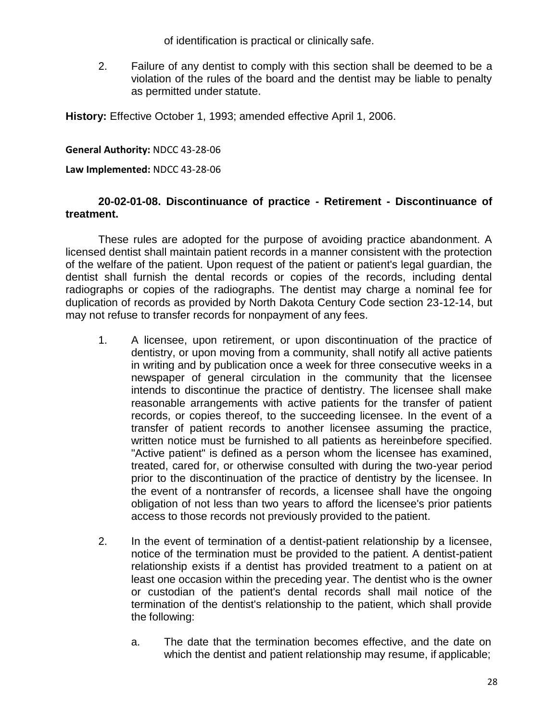of identification is practical or clinically safe.

2. Failure of any dentist to comply with this section shall be deemed to be a violation of the rules of the board and the dentist may be liable to penalty as permitted under statute.

**History:** Effective October 1, 1993; amended effective April 1, 2006.

#### **General Authority:** NDCC 43-28-06

**Law Implemented:** NDCC 43-28-06

### **20-02-01-08. Discontinuance of practice - Retirement - Discontinuance of treatment.**

These rules are adopted for the purpose of avoiding practice abandonment. A licensed dentist shall maintain patient records in a manner consistent with the protection of the welfare of the patient. Upon request of the patient or patient's legal guardian, the dentist shall furnish the dental records or copies of the records, including dental radiographs or copies of the radiographs. The dentist may charge a nominal fee for duplication of records as provided by North Dakota Century Code section 23-12-14, but may not refuse to transfer records for nonpayment of any fees.

- 1. A licensee, upon retirement, or upon discontinuation of the practice of dentistry, or upon moving from a community, shall notify all active patients in writing and by publication once a week for three consecutive weeks in a newspaper of general circulation in the community that the licensee intends to discontinue the practice of dentistry. The licensee shall make reasonable arrangements with active patients for the transfer of patient records, or copies thereof, to the succeeding licensee. In the event of a transfer of patient records to another licensee assuming the practice, written notice must be furnished to all patients as hereinbefore specified. "Active patient" is defined as a person whom the licensee has examined, treated, cared for, or otherwise consulted with during the two-year period prior to the discontinuation of the practice of dentistry by the licensee. In the event of a nontransfer of records, a licensee shall have the ongoing obligation of not less than two years to afford the licensee's prior patients access to those records not previously provided to the patient.
- 2. In the event of termination of a dentist-patient relationship by a licensee, notice of the termination must be provided to the patient. A dentist-patient relationship exists if a dentist has provided treatment to a patient on at least one occasion within the preceding year. The dentist who is the owner or custodian of the patient's dental records shall mail notice of the termination of the dentist's relationship to the patient, which shall provide the following:
	- a. The date that the termination becomes effective, and the date on which the dentist and patient relationship may resume, if applicable;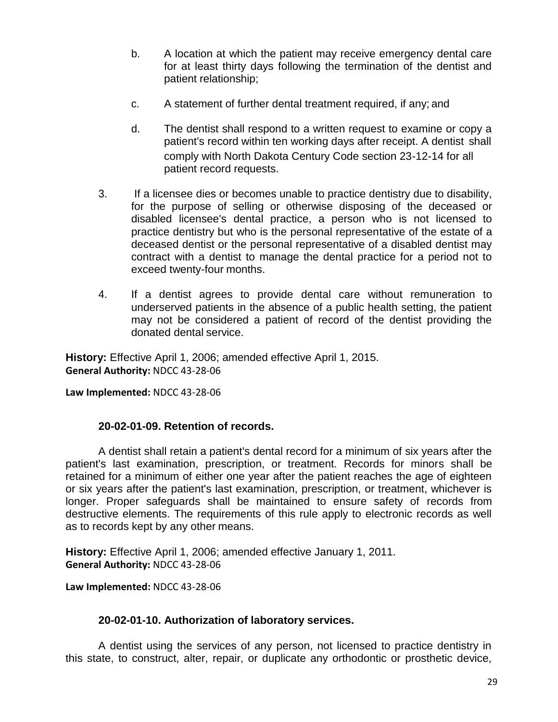- b. A location at which the patient may receive emergency dental care for at least thirty days following the termination of the dentist and patient relationship;
- c. A statement of further dental treatment required, if any; and
- d. The dentist shall respond to a written request to examine or copy a patient's record within ten working days after receipt. A dentist shall comply with North Dakota Century Code section 23-12-14 for all patient record requests.
- 3. If a licensee dies or becomes unable to practice dentistry due to disability, for the purpose of selling or otherwise disposing of the deceased or disabled licensee's dental practice, a person who is not licensed to practice dentistry but who is the personal representative of the estate of a deceased dentist or the personal representative of a disabled dentist may contract with a dentist to manage the dental practice for a period not to exceed twenty-four months.
- 4. If a dentist agrees to provide dental care without remuneration to underserved patients in the absence of a public health setting, the patient may not be considered a patient of record of the dentist providing the donated dental service.

**History:** Effective April 1, 2006; amended effective April 1, 2015. **General Authority:** NDCC 43-28-06

**Law Implemented:** NDCC 43-28-06

# **20-02-01-09. Retention of records.**

A dentist shall retain a patient's dental record for a minimum of six years after the patient's last examination, prescription, or treatment. Records for minors shall be retained for a minimum of either one year after the patient reaches the age of eighteen or six years after the patient's last examination, prescription, or treatment, whichever is longer. Proper safeguards shall be maintained to ensure safety of records from destructive elements. The requirements of this rule apply to electronic records as well as to records kept by any other means.

**History:** Effective April 1, 2006; amended effective January 1, 2011. **General Authority:** NDCC 43-28-06

**Law Implemented:** NDCC 43-28-06

### **20-02-01-10. Authorization of laboratory services.**

A dentist using the services of any person, not licensed to practice dentistry in this state, to construct, alter, repair, or duplicate any orthodontic or prosthetic device,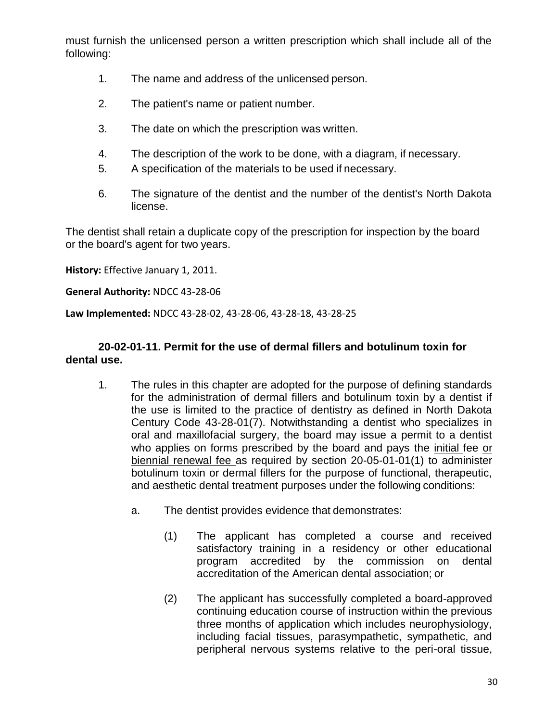must furnish the unlicensed person a written prescription which shall include all of the following:

- 1. The name and address of the unlicensed person.
- 2. The patient's name or patient number.
- 3. The date on which the prescription was written.
- 4. The description of the work to be done, with a diagram, if necessary.
- 5. A specification of the materials to be used if necessary.
- 6. The signature of the dentist and the number of the dentist's North Dakota license.

The dentist shall retain a duplicate copy of the prescription for inspection by the board or the board's agent for two years.

**History:** Effective January 1, 2011.

**General Authority:** NDCC 43-28-06

**Law Implemented:** NDCC 43-28-02, 43-28-06, 43-28-18, 43-28-25

## **20-02-01-11. Permit for the use of dermal fillers and botulinum toxin for dental use.**

- 1. The rules in this chapter are adopted for the purpose of defining standards for the administration of dermal fillers and botulinum toxin by a dentist if the use is limited to the practice of dentistry as defined in North Dakota Century Code 43-28-01(7). Notwithstanding a dentist who specializes in oral and maxillofacial surgery, the board may issue a permit to a dentist who applies on forms prescribed by the board and pays the initial fee or biennial renewal fee as required by section 20-05-01-01(1) to administer botulinum toxin or dermal fillers for the purpose of functional, therapeutic, and aesthetic dental treatment purposes under the following conditions:
	- a. The dentist provides evidence that demonstrates:
		- (1) The applicant has completed a course and received satisfactory training in a residency or other educational program accredited by the commission on dental accreditation of the American dental association; or
		- (2) The applicant has successfully completed a board-approved continuing education course of instruction within the previous three months of application which includes neurophysiology, including facial tissues, parasympathetic, sympathetic, and peripheral nervous systems relative to the peri-oral tissue,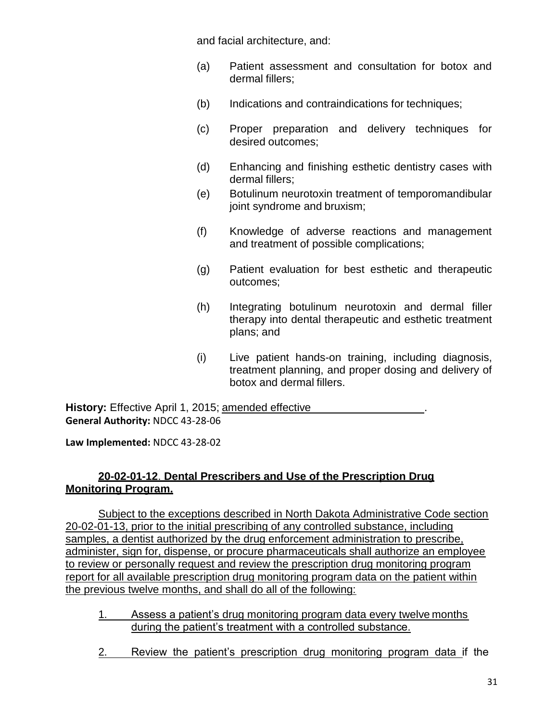and facial architecture, and:

- (a) Patient assessment and consultation for botox and dermal fillers;
- (b) Indications and contraindications for techniques;
- (c) Proper preparation and delivery techniques for desired outcomes;
- (d) Enhancing and finishing esthetic dentistry cases with dermal fillers;
- (e) Botulinum neurotoxin treatment of temporomandibular joint syndrome and bruxism;
- (f) Knowledge of adverse reactions and management and treatment of possible complications;
- (g) Patient evaluation for best esthetic and therapeutic outcomes;
- (h) Integrating botulinum neurotoxin and dermal filler therapy into dental therapeutic and esthetic treatment plans; and
- (i) Live patient hands-on training, including diagnosis, treatment planning, and proper dosing and delivery of botox and dermal fillers.

**History:** Effective April 1, 2015; amended effective **General Authority:** NDCC 43-28-06

**Law Implemented:** NDCC 43-28-02

# **20-02-01-12**. **Dental Prescribers and Use of the Prescription Drug Monitoring Program.**

Subject to the exceptions described in North Dakota Administrative Code section 20-02-01-13, prior to the initial prescribing of any controlled substance, including samples, a dentist authorized by the drug enforcement administration to prescribe, administer, sign for, dispense, or procure pharmaceuticals shall authorize an employee to review or personally request and review the prescription drug monitoring program report for all available prescription drug monitoring program data on the patient within the previous twelve months, and shall do all of the following:

- 1. Assess a patient's drug monitoring program data every twelve months during the patient's treatment with a controlled substance.
- 2. Review the patient's prescription drug monitoring program data if the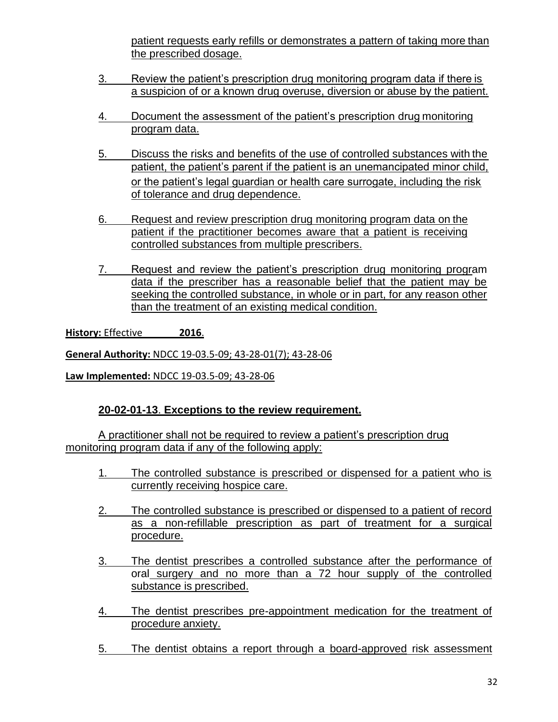patient requests early refills or demonstrates a pattern of taking more than the prescribed dosage.

- 3. Review the patient's prescription drug monitoring program data if there is a suspicion of or a known drug overuse, diversion or abuse by the patient.
- 4. Document the assessment of the patient's prescription drug monitoring program data.
- 5. Discuss the risks and benefits of the use of controlled substances with the patient, the patient's parent if the patient is an unemancipated minor child, or the patient's legal guardian or health care surrogate, including the risk of tolerance and drug dependence.
- 6. Request and review prescription drug monitoring program data on the patient if the practitioner becomes aware that a patient is receiving controlled substances from multiple prescribers.
- 7. Request and review the patient's prescription drug monitoring program data if the prescriber has a reasonable belief that the patient may be seeking the controlled substance, in whole or in part, for any reason other than the treatment of an existing medical condition.

**History:** Effective **2016**.

**General Authority:** NDCC 19-03.5-09; 43-28-01(7); 43-28-06

**Law Implemented:** NDCC 19-03.5-09; 43-28-06

# **20-02-01-13**. **Exceptions to the review requirement.**

A practitioner shall not be required to review a patient's prescription drug monitoring program data if any of the following apply:

- 1. The controlled substance is prescribed or dispensed for a patient who is currently receiving hospice care.
- 2. The controlled substance is prescribed or dispensed to a patient of record as a non-refillable prescription as part of treatment for a surgical procedure.
- 3. The dentist prescribes a controlled substance after the performance of oral surgery and no more than a 72 hour supply of the controlled substance is prescribed.
- 4. The dentist prescribes pre-appointment medication for the treatment of procedure anxiety.
- 5. The dentist obtains a report through a board-approved risk assessment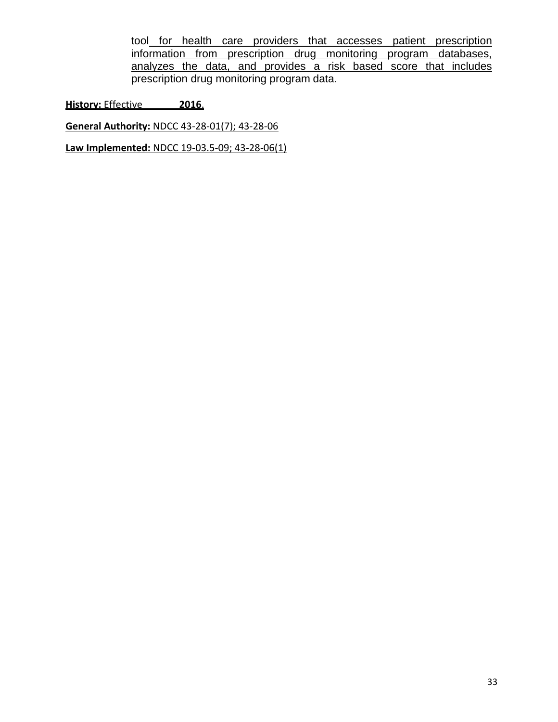tool for health care providers that accesses patient prescription information from prescription drug monitoring program databases, analyzes the data, and provides a risk based score that includes prescription drug monitoring program data.

**History:** Effective **2016**.

**General Authority:** NDCC 43-28-01(7); 43-28-06

**Law Implemented:** NDCC 19-03.5-09; 43-28-06(1)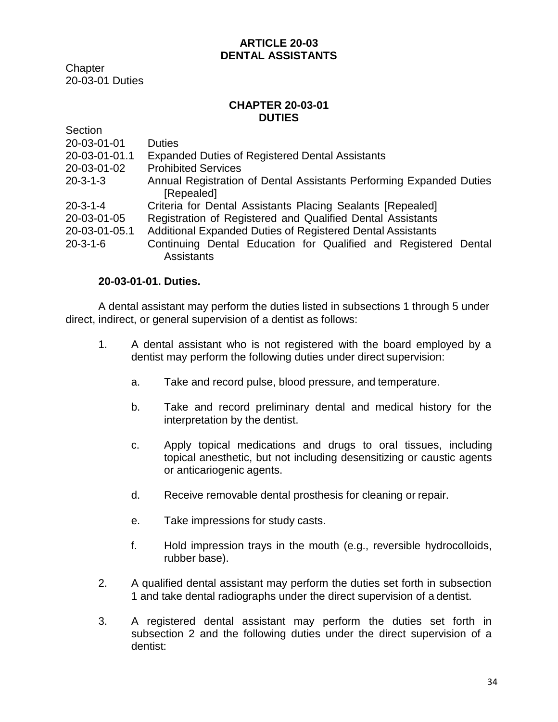## **ARTICLE 20-03 DENTAL ASSISTANTS**

**Chapter** 20-03-01 Duties

### **CHAPTER 20-03-01 DUTIES**

| Section          |                                                                                      |
|------------------|--------------------------------------------------------------------------------------|
| 20-03-01-01      | <b>Duties</b>                                                                        |
| 20-03-01-01.1    | <b>Expanded Duties of Registered Dental Assistants</b>                               |
| 20-03-01-02      | <b>Prohibited Services</b>                                                           |
| $20 - 3 - 1 - 3$ | Annual Registration of Dental Assistants Performing Expanded Duties<br>[Repealed]    |
| $20 - 3 - 1 - 4$ | Criteria for Dental Assistants Placing Sealants [Repealed]                           |
| 20-03-01-05      | Registration of Registered and Qualified Dental Assistants                           |
| 20-03-01-05.1    | Additional Expanded Duties of Registered Dental Assistants                           |
| $20 - 3 - 1 - 6$ | Continuing Dental Education for Qualified and Registered Dental<br><b>Assistants</b> |

## **20-03-01-01. Duties.**

A dental assistant may perform the duties listed in subsections 1 through 5 under direct, indirect, or general supervision of a dentist as follows:

- 1. A dental assistant who is not registered with the board employed by a dentist may perform the following duties under direct supervision:
	- a. Take and record pulse, blood pressure, and temperature.
	- b. Take and record preliminary dental and medical history for the interpretation by the dentist.
	- c. Apply topical medications and drugs to oral tissues, including topical anesthetic, but not including desensitizing or caustic agents or anticariogenic agents.
	- d. Receive removable dental prosthesis for cleaning or repair.
	- e. Take impressions for study casts.
	- f. Hold impression trays in the mouth (e.g., reversible hydrocolloids, rubber base).
- 2. A qualified dental assistant may perform the duties set forth in subsection 1 and take dental radiographs under the direct supervision of a dentist.
- 3. A registered dental assistant may perform the duties set forth in subsection 2 and the following duties under the direct supervision of a dentist: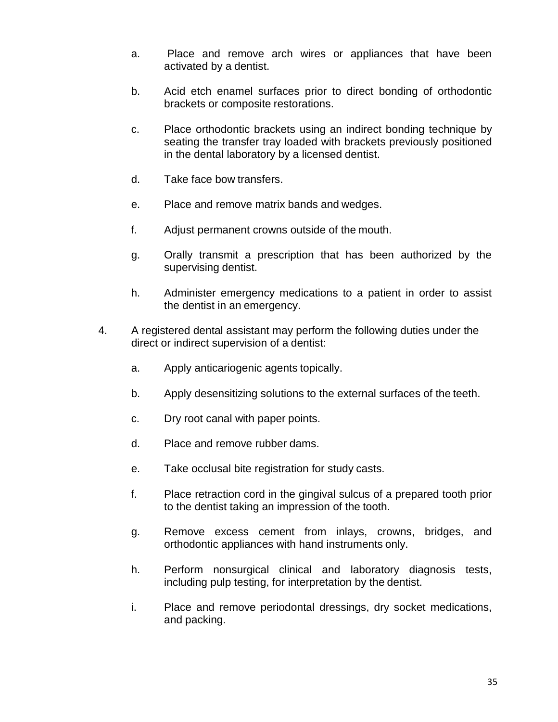- a. Place and remove arch wires or appliances that have been activated by a dentist.
- b. Acid etch enamel surfaces prior to direct bonding of orthodontic brackets or composite restorations.
- c. Place orthodontic brackets using an indirect bonding technique by seating the transfer tray loaded with brackets previously positioned in the dental laboratory by a licensed dentist.
- d. Take face bow transfers.
- e. Place and remove matrix bands and wedges.
- f. Adjust permanent crowns outside of the mouth.
- g. Orally transmit a prescription that has been authorized by the supervising dentist.
- h. Administer emergency medications to a patient in order to assist the dentist in an emergency.
- 4. A registered dental assistant may perform the following duties under the direct or indirect supervision of a dentist:
	- a. Apply anticariogenic agents topically.
	- b. Apply desensitizing solutions to the external surfaces of the teeth.
	- c. Dry root canal with paper points.
	- d. Place and remove rubber dams.
	- e. Take occlusal bite registration for study casts.
	- f. Place retraction cord in the gingival sulcus of a prepared tooth prior to the dentist taking an impression of the tooth.
	- g. Remove excess cement from inlays, crowns, bridges, and orthodontic appliances with hand instruments only.
	- h. Perform nonsurgical clinical and laboratory diagnosis tests, including pulp testing, for interpretation by the dentist.
	- i. Place and remove periodontal dressings, dry socket medications, and packing.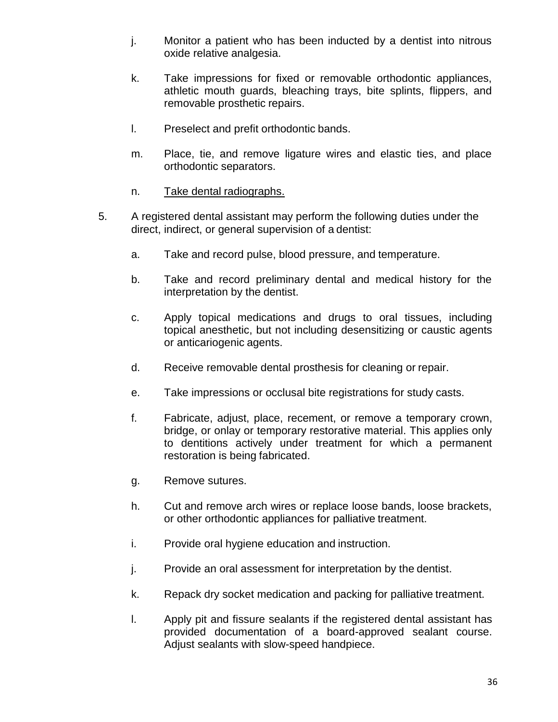- j. Monitor a patient who has been inducted by a dentist into nitrous oxide relative analgesia.
- k. Take impressions for fixed or removable orthodontic appliances, athletic mouth guards, bleaching trays, bite splints, flippers, and removable prosthetic repairs.
- l. Preselect and prefit orthodontic bands.
- m. Place, tie, and remove ligature wires and elastic ties, and place orthodontic separators.
- n. Take dental radiographs.
- 5. A registered dental assistant may perform the following duties under the direct, indirect, or general supervision of a dentist:
	- a. Take and record pulse, blood pressure, and temperature.
	- b. Take and record preliminary dental and medical history for the interpretation by the dentist.
	- c. Apply topical medications and drugs to oral tissues, including topical anesthetic, but not including desensitizing or caustic agents or anticariogenic agents.
	- d. Receive removable dental prosthesis for cleaning or repair.
	- e. Take impressions or occlusal bite registrations for study casts.
	- f. Fabricate, adjust, place, recement, or remove a temporary crown, bridge, or onlay or temporary restorative material. This applies only to dentitions actively under treatment for which a permanent restoration is being fabricated.
	- g. Remove sutures.
	- h. Cut and remove arch wires or replace loose bands, loose brackets, or other orthodontic appliances for palliative treatment.
	- i. Provide oral hygiene education and instruction.
	- j. Provide an oral assessment for interpretation by the dentist.
	- k. Repack dry socket medication and packing for palliative treatment.
	- l. Apply pit and fissure sealants if the registered dental assistant has provided documentation of a board-approved sealant course. Adjust sealants with slow-speed handpiece.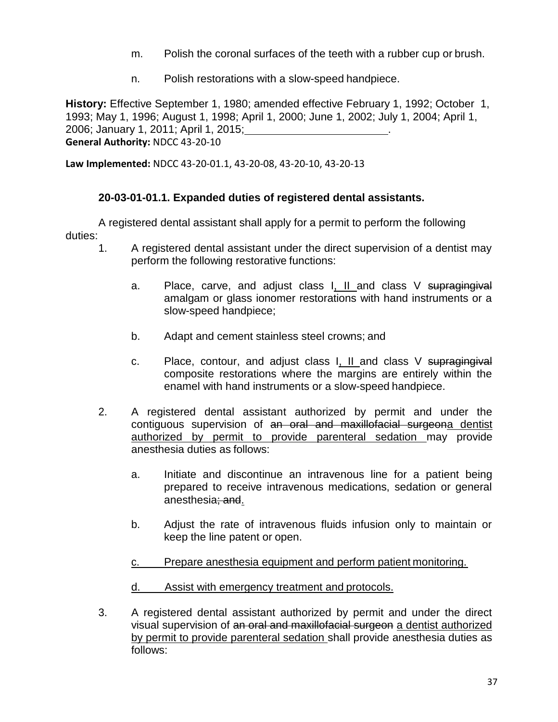- m. Polish the coronal surfaces of the teeth with a rubber cup or brush.
- n. Polish restorations with a slow-speed handpiece.

**History:** Effective September 1, 1980; amended effective February 1, 1992; October 1, 1993; May 1, 1996; August 1, 1998; April 1, 2000; June 1, 2002; July 1, 2004; April 1, 2006; January 1, 2011; April 1, 2015; .

**General Authority:** NDCC 43-20-10

**Law Implemented:** NDCC 43-20-01.1, 43-20-08, 43-20-10, 43-20-13

# **20-03-01-01.1. Expanded duties of registered dental assistants.**

duties: A registered dental assistant shall apply for a permit to perform the following

- 1. A registered dental assistant under the direct supervision of a dentist may perform the following restorative functions:
	- a. Place, carve, and adjust class I, II and class V supragingival amalgam or glass ionomer restorations with hand instruments or a slow-speed handpiece;
	- b. Adapt and cement stainless steel crowns; and
	- c. Place, contour, and adjust class I, II and class V supragingival composite restorations where the margins are entirely within the enamel with hand instruments or a slow-speed handpiece.
- 2. A registered dental assistant authorized by permit and under the contiguous supervision of an oral and maxillofacial surgeona dentist authorized by permit to provide parenteral sedation may provide anesthesia duties as follows:
	- a. Initiate and discontinue an intravenous line for a patient being prepared to receive intravenous medications, sedation or general anesthesia; and.
	- b. Adjust the rate of intravenous fluids infusion only to maintain or keep the line patent or open.
	- c. Prepare anesthesia equipment and perform patient monitoring.
	- d. Assist with emergency treatment and protocols.
- 3. A registered dental assistant authorized by permit and under the direct visual supervision of an oral and maxillofacial surgeon a dentist authorized by permit to provide parenteral sedation shall provide anesthesia duties as follows: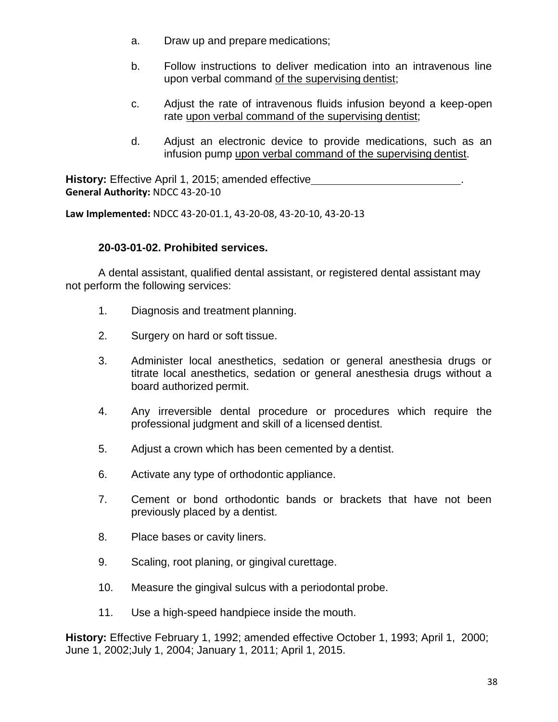- a. Draw up and prepare medications;
- b. Follow instructions to deliver medication into an intravenous line upon verbal command of the supervising dentist;
- c. Adjust the rate of intravenous fluids infusion beyond a keep-open rate upon verbal command of the supervising dentist;
- d. Adjust an electronic device to provide medications, such as an infusion pump upon verbal command of the supervising dentist.

**History:** Effective April 1, 2015; amended effective **General Authority:** NDCC 43-20-10

**Law Implemented:** NDCC 43-20-01.1, 43-20-08, 43-20-10, 43-20-13

## **20-03-01-02. Prohibited services.**

A dental assistant, qualified dental assistant, or registered dental assistant may not perform the following services:

- 1. Diagnosis and treatment planning.
- 2. Surgery on hard or soft tissue.
- 3. Administer local anesthetics, sedation or general anesthesia drugs or titrate local anesthetics, sedation or general anesthesia drugs without a board authorized permit.
- 4. Any irreversible dental procedure or procedures which require the professional judgment and skill of a licensed dentist.
- 5. Adjust a crown which has been cemented by a dentist.
- 6. Activate any type of orthodontic appliance.
- 7. Cement or bond orthodontic bands or brackets that have not been previously placed by a dentist.
- 8. Place bases or cavity liners.
- 9. Scaling, root planing, or gingival curettage.
- 10. Measure the gingival sulcus with a periodontal probe.
- 11. Use a high-speed handpiece inside the mouth.

**History:** Effective February 1, 1992; amended effective October 1, 1993; April 1, 2000; June 1, 2002;July 1, 2004; January 1, 2011; April 1, 2015.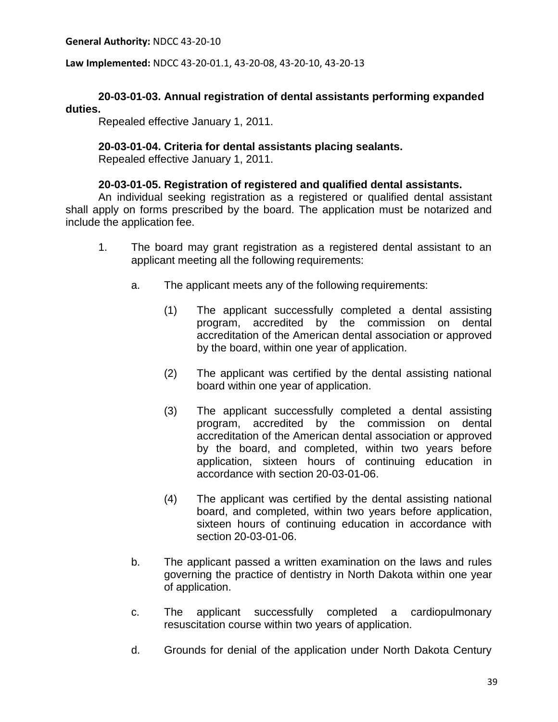**General Authority:** NDCC 43-20-10

**Law Implemented:** NDCC 43-20-01.1, 43-20-08, 43-20-10, 43-20-13

## **20-03-01-03. Annual registration of dental assistants performing expanded duties.**

Repealed effective January 1, 2011.

### **20-03-01-04. Criteria for dental assistants placing sealants.**

Repealed effective January 1, 2011.

### **20-03-01-05. Registration of registered and qualified dental assistants.**

An individual seeking registration as a registered or qualified dental assistant shall apply on forms prescribed by the board. The application must be notarized and include the application fee.

- 1. The board may grant registration as a registered dental assistant to an applicant meeting all the following requirements:
	- a. The applicant meets any of the following requirements:
		- (1) The applicant successfully completed a dental assisting program, accredited by the commission on dental accreditation of the American dental association or approved by the board, within one year of application.
		- (2) The applicant was certified by the dental assisting national board within one year of application.
		- (3) The applicant successfully completed a dental assisting program, accredited by the commission on dental accreditation of the American dental association or approved by the board, and completed, within two years before application, sixteen hours of continuing education in accordance with section 20-03-01-06.
		- (4) The applicant was certified by the dental assisting national board, and completed, within two years before application, sixteen hours of continuing education in accordance with section 20-03-01-06.
	- b. The applicant passed a written examination on the laws and rules governing the practice of dentistry in North Dakota within one year of application.
	- c. The applicant successfully completed a cardiopulmonary resuscitation course within two years of application.
	- d. Grounds for denial of the application under North Dakota Century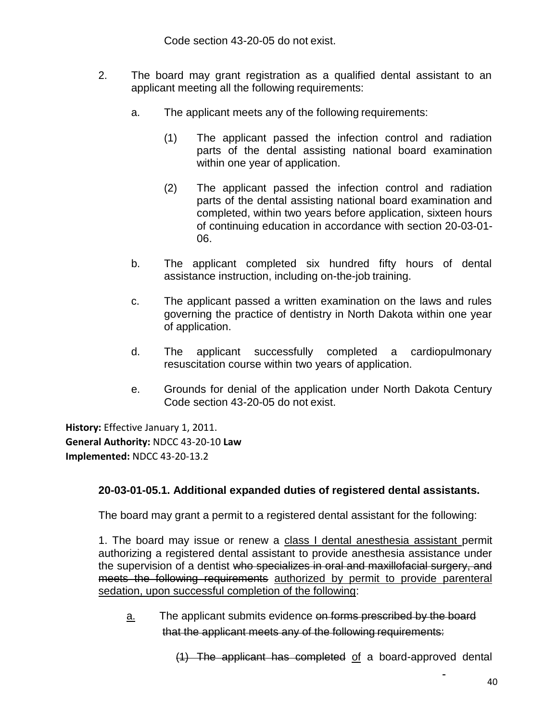Code section 43-20-05 do not exist.

- 2. The board may grant registration as a qualified dental assistant to an applicant meeting all the following requirements:
	- a. The applicant meets any of the following requirements:
		- (1) The applicant passed the infection control and radiation parts of the dental assisting national board examination within one year of application.
		- (2) The applicant passed the infection control and radiation parts of the dental assisting national board examination and completed, within two years before application, sixteen hours of continuing education in accordance with section 20-03-01- 06.
	- b. The applicant completed six hundred fifty hours of dental assistance instruction, including on-the-job training.
	- c. The applicant passed a written examination on the laws and rules governing the practice of dentistry in North Dakota within one year of application.
	- d. The applicant successfully completed a cardiopulmonary resuscitation course within two years of application.
	- e. Grounds for denial of the application under North Dakota Century Code section 43-20-05 do not exist.

**History:** Effective January 1, 2011. **General Authority:** NDCC 43-20-10 **Law Implemented:** NDCC 43-20-13.2

# **20-03-01-05.1. Additional expanded duties of registered dental assistants.**

The board may grant a permit to a registered dental assistant for the following:

1. The board may issue or renew a class I dental anesthesia assistant permit authorizing a registered dental assistant to provide anesthesia assistance under the supervision of a dentist who specializes in oral and maxillofacial surgery, and meets the following requirements authorized by permit to provide parenteral sedation, upon successful completion of the following:

<u>a.</u> The applicant submits evidence on forms prescribed by the board that the applicant meets any of the following requirements:

(1) The applicant has completed of a board-approved dental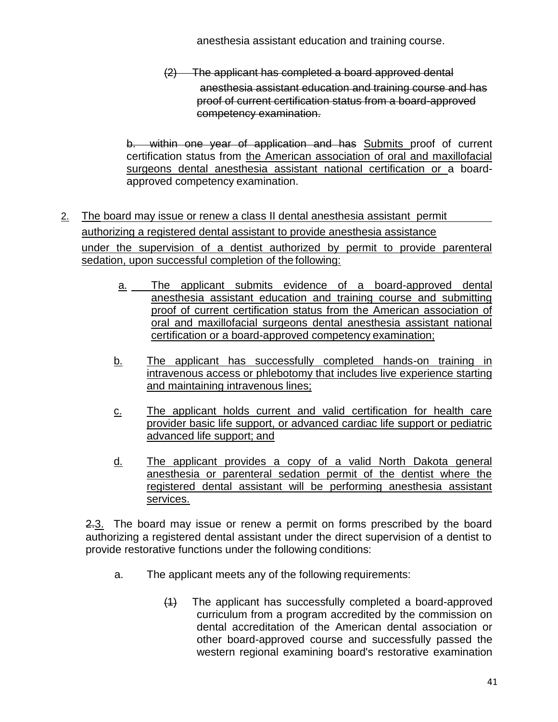anesthesia assistant education and training course.

(2) The applicant has completed a board approved dental anesthesia assistant education and training course and has proof of current certification status from a board-approved competency examination.

b. within one year of application and has Submits proof of current certification status from the American association of oral and maxillofacial surgeons dental anesthesia assistant national certification or a boardapproved competency examination.

- 2. The board may issue or renew a class II dental anesthesia assistant permit authorizing a registered dental assistant to provide anesthesia assistance under the supervision of a dentist authorized by permit to provide parenteral sedation, upon successful completion of the following:
	- a. The applicant submits evidence of a board-approved dental anesthesia assistant education and training course and submitting proof of current certification status from the American association of oral and maxillofacial surgeons dental anesthesia assistant national certification or a board-approved competency examination;
	- b. The applicant has successfully completed hands-on training in intravenous access or phlebotomy that includes live experience starting and maintaining intravenous lines;
	- c. The applicant holds current and valid certification for health care provider basic life support, or advanced cardiac life support or pediatric advanced life support; and
	- d. The applicant provides a copy of a valid North Dakota general anesthesia or parenteral sedation permit of the dentist where the registered dental assistant will be performing anesthesia assistant services.

2.3. The board may issue or renew a permit on forms prescribed by the board authorizing a registered dental assistant under the direct supervision of a dentist to provide restorative functions under the following conditions:

- a. The applicant meets any of the following requirements:
	- (1) The applicant has successfully completed a board-approved curriculum from a program accredited by the commission on dental accreditation of the American dental association or other board-approved course and successfully passed the western regional examining board's restorative examination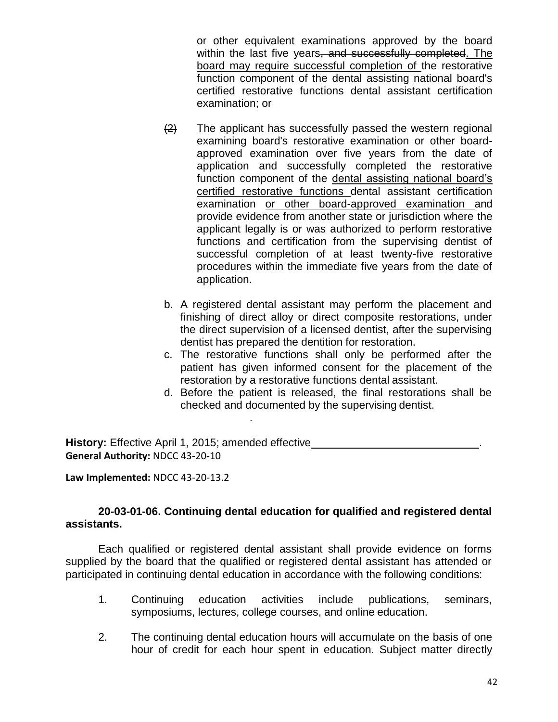or other equivalent examinations approved by the board within the last five years, and successfully completed. The board may require successful completion of the restorative function component of the dental assisting national board's certified restorative functions dental assistant certification examination; or

- $\left( \frac{2}{2} \right)$  The applicant has successfully passed the western regional examining board's restorative examination or other boardapproved examination over five years from the date of application and successfully completed the restorative function component of the dental assisting national board's certified restorative functions dental assistant certification examination or other board-approved examination and provide evidence from another state or jurisdiction where the applicant legally is or was authorized to perform restorative functions and certification from the supervising dentist of successful completion of at least twenty-five restorative procedures within the immediate five years from the date of application.
- b. A registered dental assistant may perform the placement and finishing of direct alloy or direct composite restorations, under the direct supervision of a licensed dentist, after the supervising dentist has prepared the dentition for restoration.
- c. The restorative functions shall only be performed after the patient has given informed consent for the placement of the restoration by a restorative functions dental assistant.
- d. Before the patient is released, the final restorations shall be checked and documented by the supervising dentist.

**History:** Effective April 1, 2015; amended effective **General Authority:** NDCC 43-20-10

.

**Law Implemented:** NDCC 43-20-13.2

### **20-03-01-06. Continuing dental education for qualified and registered dental assistants.**

Each qualified or registered dental assistant shall provide evidence on forms supplied by the board that the qualified or registered dental assistant has attended or participated in continuing dental education in accordance with the following conditions:

- 1. Continuing education activities include publications, seminars, symposiums, lectures, college courses, and online education.
- 2. The continuing dental education hours will accumulate on the basis of one hour of credit for each hour spent in education. Subject matter directly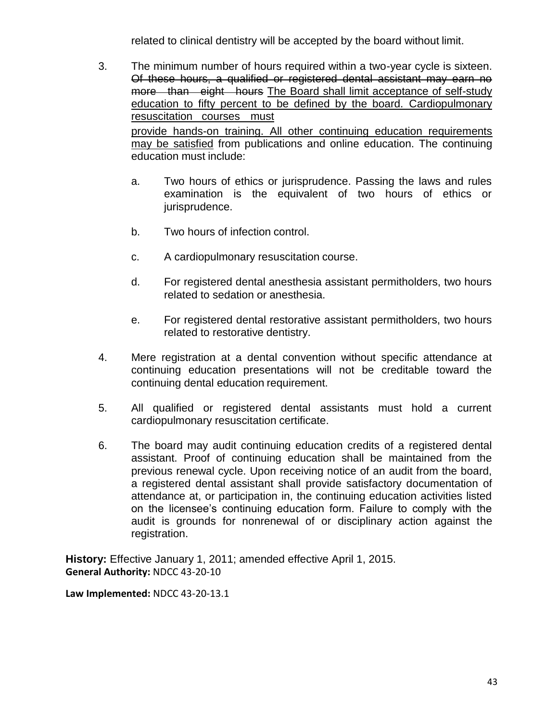related to clinical dentistry will be accepted by the board without limit.

- 3. The minimum number of hours required within a two-year cycle is sixteen. Of these hours, a qualified or registered dental assistant may earn no more than eight hours The Board shall limit acceptance of self-study education to fifty percent to be defined by the board. Cardiopulmonary resuscitation courses must provide hands-on training. All other continuing education requirements may be satisfied from publications and online education. The continuing education must include:
	- a. Two hours of ethics or jurisprudence. Passing the laws and rules examination is the equivalent of two hours of ethics or jurisprudence.
	- b. Two hours of infection control.
	- c. A cardiopulmonary resuscitation course.
	- d. For registered dental anesthesia assistant permitholders, two hours related to sedation or anesthesia.
	- e. For registered dental restorative assistant permitholders, two hours related to restorative dentistry.
- 4. Mere registration at a dental convention without specific attendance at continuing education presentations will not be creditable toward the continuing dental education requirement.
- 5. All qualified or registered dental assistants must hold a current cardiopulmonary resuscitation certificate.
- 6. The board may audit continuing education credits of a registered dental assistant. Proof of continuing education shall be maintained from the previous renewal cycle. Upon receiving notice of an audit from the board, a registered dental assistant shall provide satisfactory documentation of attendance at, or participation in, the continuing education activities listed on the licensee's continuing education form. Failure to comply with the audit is grounds for nonrenewal of or disciplinary action against the registration.

**History:** Effective January 1, 2011; amended effective April 1, 2015. **General Authority:** NDCC 43-20-10

**Law Implemented:** NDCC 43-20-13.1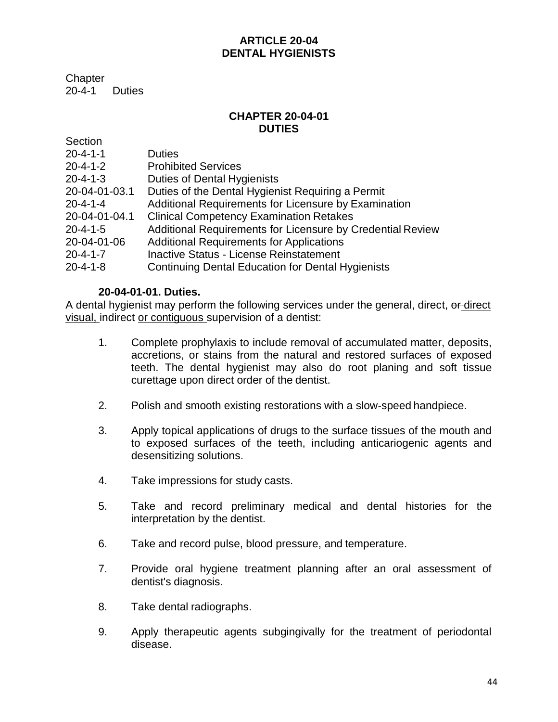# **ARTICLE 20-04 DENTAL HYGIENISTS**

**Chapter** 20-4-1 Duties

# **CHAPTER 20-04-01 DUTIES**

| Section          |                                                            |
|------------------|------------------------------------------------------------|
| $20 - 4 - 1 - 1$ | <b>Duties</b>                                              |
| $20 - 4 - 1 - 2$ | <b>Prohibited Services</b>                                 |
| $20 - 4 - 1 - 3$ | <b>Duties of Dental Hygienists</b>                         |
| 20-04-01-03.1    | Duties of the Dental Hygienist Requiring a Permit          |
| $20 - 4 - 1 - 4$ | Additional Requirements for Licensure by Examination       |
| 20-04-01-04.1    | <b>Clinical Competency Examination Retakes</b>             |
| $20 - 4 - 1 - 5$ | Additional Requirements for Licensure by Credential Review |
| 20-04-01-06      | <b>Additional Requirements for Applications</b>            |
| $20 - 4 - 1 - 7$ | <b>Inactive Status - License Reinstatement</b>             |
| $20 - 4 - 1 - 8$ | <b>Continuing Dental Education for Dental Hygienists</b>   |

# **20-04-01-01. Duties.**

A dental hygienist may perform the following services under the general, direct, or-direct visual, indirect or contiguous supervision of a dentist:

- 1. Complete prophylaxis to include removal of accumulated matter, deposits, accretions, or stains from the natural and restored surfaces of exposed teeth. The dental hygienist may also do root planing and soft tissue curettage upon direct order of the dentist.
- 2. Polish and smooth existing restorations with a slow-speed handpiece.
- 3. Apply topical applications of drugs to the surface tissues of the mouth and to exposed surfaces of the teeth, including anticariogenic agents and desensitizing solutions.
- 4. Take impressions for study casts.
- 5. Take and record preliminary medical and dental histories for the interpretation by the dentist.
- 6. Take and record pulse, blood pressure, and temperature.
- 7. Provide oral hygiene treatment planning after an oral assessment of dentist's diagnosis.
- 8. Take dental radiographs.
- 9. Apply therapeutic agents subgingivally for the treatment of periodontal disease.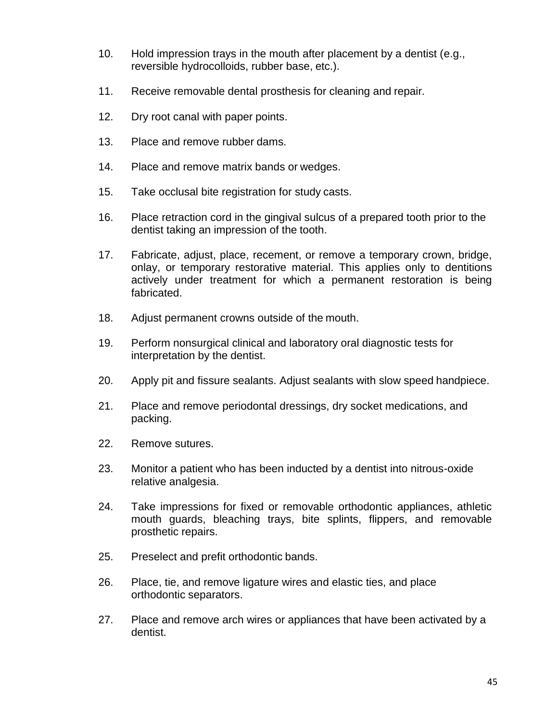- 10. Hold impression trays in the mouth after placement by a dentist (e.g., reversible hydrocolloids, rubber base, etc.).
- 11. Receive removable dental prosthesis for cleaning and repair.
- 12. Dry root canal with paper points.
- 13. Place and remove rubber dams.
- 14. Place and remove matrix bands or wedges.
- 15. Take occlusal bite registration for study casts.
- 16. Place retraction cord in the gingival sulcus of a prepared tooth prior to the dentist taking an impression of the tooth.
- 17. Fabricate, adjust, place, recement, or remove a temporary crown, bridge, onlay, or temporary restorative material. This applies only to dentitions actively under treatment for which a permanent restoration is being fabricated.
- 18. Adjust permanent crowns outside of the mouth.
- 19. Perform nonsurgical clinical and laboratory oral diagnostic tests for interpretation by the dentist.
- 20. Apply pit and fissure sealants. Adjust sealants with slow speed handpiece.
- 21. Place and remove periodontal dressings, dry socket medications, and packing.
- 22. Remove sutures.
- 23. Monitor a patient who has been inducted by a dentist into nitrous-oxide relative analgesia.
- 24. Take impressions for fixed or removable orthodontic appliances, athletic mouth guards, bleaching trays, bite splints, flippers, and removable prosthetic repairs.
- 25. Preselect and prefit orthodontic bands.
- 26. Place, tie, and remove ligature wires and elastic ties, and place orthodontic separators.
- 27. Place and remove arch wires or appliances that have been activated by a dentist.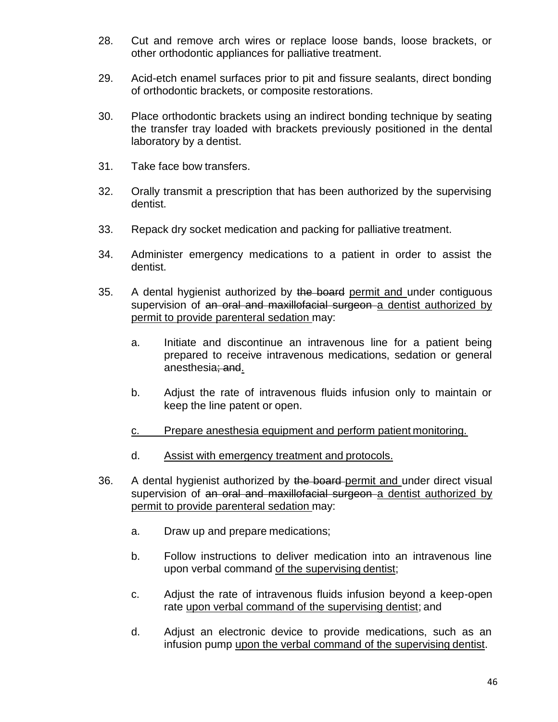- 28. Cut and remove arch wires or replace loose bands, loose brackets, or other orthodontic appliances for palliative treatment.
- 29. Acid-etch enamel surfaces prior to pit and fissure sealants, direct bonding of orthodontic brackets, or composite restorations.
- 30. Place orthodontic brackets using an indirect bonding technique by seating the transfer tray loaded with brackets previously positioned in the dental laboratory by a dentist.
- 31. Take face bow transfers.
- 32. Orally transmit a prescription that has been authorized by the supervising dentist.
- 33. Repack dry socket medication and packing for palliative treatment.
- 34. Administer emergency medications to a patient in order to assist the dentist.
- 35. A dental hygienist authorized by the board permit and under contiguous supervision of an oral and maxillofacial surgeon a dentist authorized by permit to provide parenteral sedation may:
	- a. Initiate and discontinue an intravenous line for a patient being prepared to receive intravenous medications, sedation or general anesthesia; and.
	- b. Adjust the rate of intravenous fluids infusion only to maintain or keep the line patent or open.
	- c. Prepare anesthesia equipment and perform patient monitoring.
	- d. Assist with emergency treatment and protocols.
- 36. A dental hygienist authorized by the board-permit and under direct visual supervision of an oral and maxillofacial surgeon a dentist authorized by permit to provide parenteral sedation may:
	- a. Draw up and prepare medications;
	- b. Follow instructions to deliver medication into an intravenous line upon verbal command of the supervising dentist;
	- c. Adjust the rate of intravenous fluids infusion beyond a keep-open rate upon verbal command of the supervising dentist; and
	- d. Adjust an electronic device to provide medications, such as an infusion pump upon the verbal command of the supervising dentist.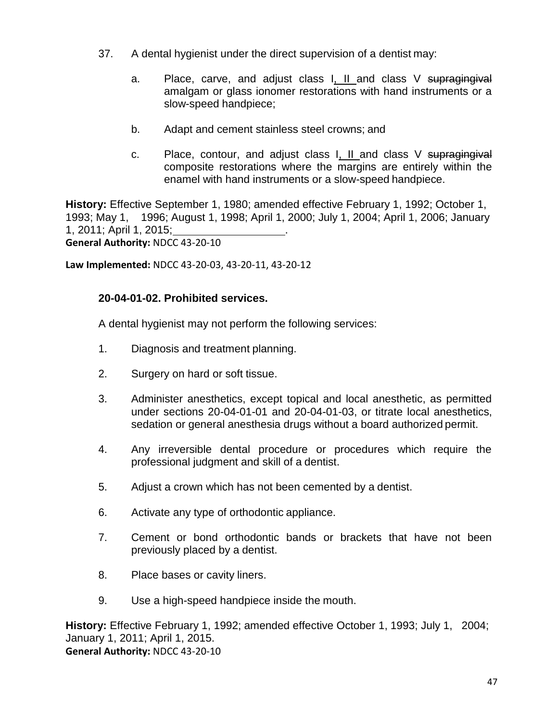- 37. A dental hygienist under the direct supervision of a dentist may:
	- a. Place, carve, and adjust class I, II and class V supragingival amalgam or glass ionomer restorations with hand instruments or a slow-speed handpiece;
	- b. Adapt and cement stainless steel crowns; and
	- c. Place, contour, and adjust class I, II and class V supragingival composite restorations where the margins are entirely within the enamel with hand instruments or a slow-speed handpiece.

**History:** Effective September 1, 1980; amended effective February 1, 1992; October 1, 1993; May 1, 1996; August 1, 1998; April 1, 2000; July 1, 2004; April 1, 2006; January 1, 2011; April 1, 2015; . **General Authority:** NDCC 43-20-10

**Law Implemented:** NDCC 43-20-03, 43-20-11, 43-20-12

## **20-04-01-02. Prohibited services.**

A dental hygienist may not perform the following services:

- 1. Diagnosis and treatment planning.
- 2. Surgery on hard or soft tissue.
- 3. Administer anesthetics, except topical and local anesthetic, as permitted under sections 20-04-01-01 and 20-04-01-03, or titrate local anesthetics, sedation or general anesthesia drugs without a board authorized permit.
- 4. Any irreversible dental procedure or procedures which require the professional judgment and skill of a dentist.
- 5. Adjust a crown which has not been cemented by a dentist.
- 6. Activate any type of orthodontic appliance.
- 7. Cement or bond orthodontic bands or brackets that have not been previously placed by a dentist.
- 8. Place bases or cavity liners.
- 9. Use a high-speed handpiece inside the mouth.

**History:** Effective February 1, 1992; amended effective October 1, 1993; July 1, 2004; January 1, 2011; April 1, 2015. **General Authority:** NDCC 43-20-10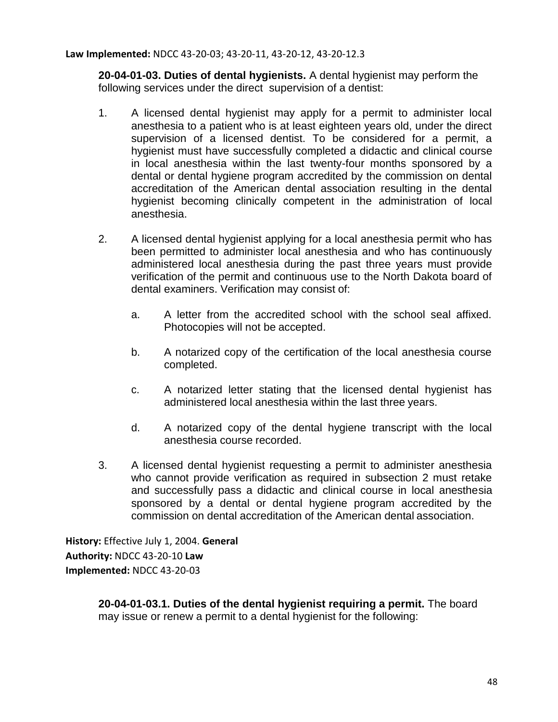**Law Implemented:** NDCC 43-20-03; 43-20-11, 43-20-12, 43-20-12.3

**20-04-01-03. Duties of dental hygienists.** A dental hygienist may perform the following services under the direct supervision of a dentist:

- 1. A licensed dental hygienist may apply for a permit to administer local anesthesia to a patient who is at least eighteen years old, under the direct supervision of a licensed dentist. To be considered for a permit, a hygienist must have successfully completed a didactic and clinical course in local anesthesia within the last twenty-four months sponsored by a dental or dental hygiene program accredited by the commission on dental accreditation of the American dental association resulting in the dental hygienist becoming clinically competent in the administration of local anesthesia.
- 2. A licensed dental hygienist applying for a local anesthesia permit who has been permitted to administer local anesthesia and who has continuously administered local anesthesia during the past three years must provide verification of the permit and continuous use to the North Dakota board of dental examiners. Verification may consist of:
	- a. A letter from the accredited school with the school seal affixed. Photocopies will not be accepted.
	- b. A notarized copy of the certification of the local anesthesia course completed.
	- c. A notarized letter stating that the licensed dental hygienist has administered local anesthesia within the last three years.
	- d. A notarized copy of the dental hygiene transcript with the local anesthesia course recorded.
- 3. A licensed dental hygienist requesting a permit to administer anesthesia who cannot provide verification as required in subsection 2 must retake and successfully pass a didactic and clinical course in local anesthesia sponsored by a dental or dental hygiene program accredited by the commission on dental accreditation of the American dental association.

**History:** Effective July 1, 2004. **General Authority:** NDCC 43-20-10 **Law Implemented:** NDCC 43-20-03

> **20-04-01-03.1. Duties of the dental hygienist requiring a permit.** The board may issue or renew a permit to a dental hygienist for the following: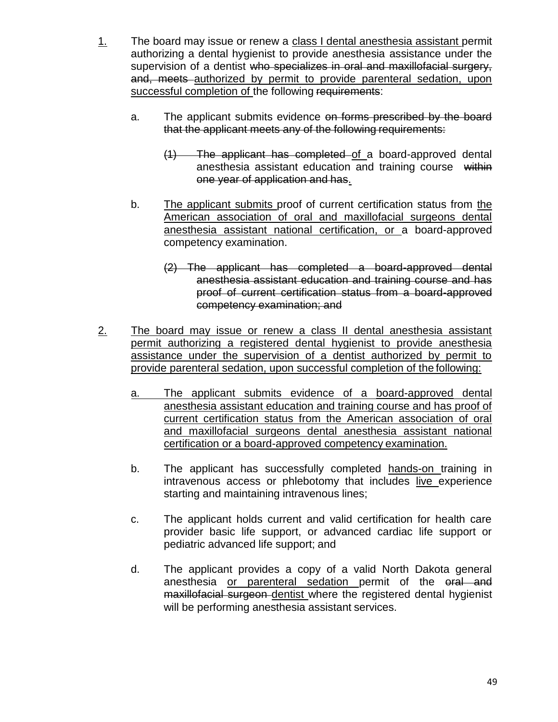- 1. The board may issue or renew a class I dental anesthesia assistant permit authorizing a dental hygienist to provide anesthesia assistance under the supervision of a dentist who specializes in oral and maxillofacial surgery, and, meets authorized by permit to provide parenteral sedation, upon successful completion of the following requirements:
	- a. The applicant submits evidence on forms prescribed by the board that the applicant meets any of the following requirements:
		- (1) The applicant has completed of a board-approved dental anesthesia assistant education and training course within one year of application and has.
	- b. The applicant submits proof of current certification status from the American association of oral and maxillofacial surgeons dental anesthesia assistant national certification, or a board-approved competency examination.
		- (2) The applicant has completed a board-approved dental anesthesia assistant education and training course and has proof of current certification status from a board-approved competency examination; and
- 2. The board may issue or renew a class II dental anesthesia assistant permit authorizing a registered dental hygienist to provide anesthesia assistance under the supervision of a dentist authorized by permit to provide parenteral sedation, upon successful completion of the following:
	- a. The applicant submits evidence of a board-approved dental anesthesia assistant education and training course and has proof of current certification status from the American association of oral and maxillofacial surgeons dental anesthesia assistant national certification or a board-approved competency examination.
	- b. The applicant has successfully completed hands-on training in intravenous access or phlebotomy that includes live experience starting and maintaining intravenous lines;
	- c. The applicant holds current and valid certification for health care provider basic life support, or advanced cardiac life support or pediatric advanced life support; and
	- d. The applicant provides a copy of a valid North Dakota general anesthesia or parenteral sedation permit of the oral and maxillofacial surgeon dentist where the registered dental hygienist will be performing anesthesia assistant services.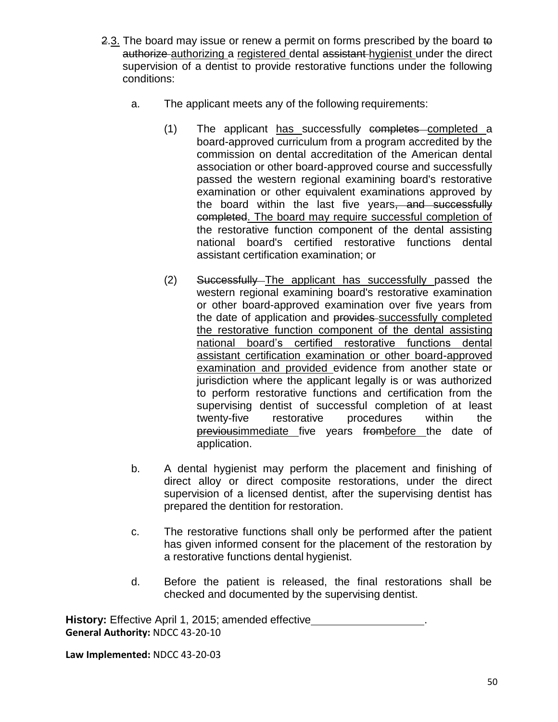- 2.3. The board may issue or renew a permit on forms prescribed by the board to authorize authorizing a registered dental assistant hygienist under the direct supervision of a dentist to provide restorative functions under the following conditions:
	- a. The applicant meets any of the following requirements:
		- (1) The applicant has successfully completes completed a board-approved curriculum from a program accredited by the commission on dental accreditation of the American dental association or other board-approved course and successfully passed the western regional examining board's restorative examination or other equivalent examinations approved by the board within the last five years, and successfully completed. The board may require successful completion of the restorative function component of the dental assisting national board's certified restorative functions dental assistant certification examination; or
		- (2) Successfully The applicant has successfully passed the western regional examining board's restorative examination or other board-approved examination over five years from the date of application and provides successfully completed the restorative function component of the dental assisting national board's certified restorative functions dental assistant certification examination or other board-approved examination and provided evidence from another state or jurisdiction where the applicant legally is or was authorized to perform restorative functions and certification from the supervising dentist of successful completion of at least twenty-five restorative procedures within the previousimmediate five years frombefore the date of application.
	- b. A dental hygienist may perform the placement and finishing of direct alloy or direct composite restorations, under the direct supervision of a licensed dentist, after the supervising dentist has prepared the dentition for restoration.
	- c. The restorative functions shall only be performed after the patient has given informed consent for the placement of the restoration by a restorative functions dental hygienist.
	- d. Before the patient is released, the final restorations shall be checked and documented by the supervising dentist.

**History:** Effective April 1, 2015; amended effective **General Authority:** NDCC 43-20-10

**Law Implemented:** NDCC 43-20-03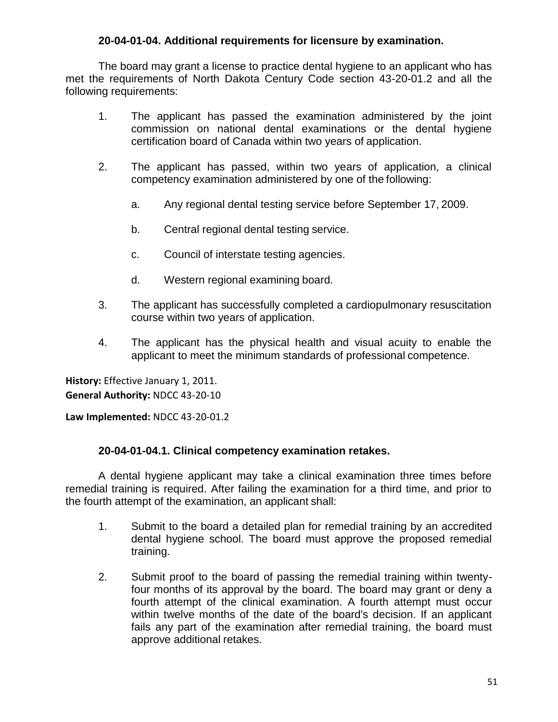## **20-04-01-04. Additional requirements for licensure by examination.**

The board may grant a license to practice dental hygiene to an applicant who has met the requirements of North Dakota Century Code section 43-20-01.2 and all the following requirements:

- 1. The applicant has passed the examination administered by the joint commission on national dental examinations or the dental hygiene certification board of Canada within two years of application.
- 2. The applicant has passed, within two years of application, a clinical competency examination administered by one of the following:
	- a. Any regional dental testing service before September 17, 2009.
	- b. Central regional dental testing service.
	- c. Council of interstate testing agencies.
	- d. Western regional examining board.
- 3. The applicant has successfully completed a cardiopulmonary resuscitation course within two years of application.
- 4. The applicant has the physical health and visual acuity to enable the applicant to meet the minimum standards of professional competence.

**History:** Effective January 1, 2011. **General Authority:** NDCC 43-20-10

**Law Implemented:** NDCC 43-20-01.2

### **20-04-01-04.1. Clinical competency examination retakes.**

A dental hygiene applicant may take a clinical examination three times before remedial training is required. After failing the examination for a third time, and prior to the fourth attempt of the examination, an applicant shall:

- 1. Submit to the board a detailed plan for remedial training by an accredited dental hygiene school. The board must approve the proposed remedial training.
- 2. Submit proof to the board of passing the remedial training within twentyfour months of its approval by the board. The board may grant or deny a fourth attempt of the clinical examination. A fourth attempt must occur within twelve months of the date of the board's decision. If an applicant fails any part of the examination after remedial training, the board must approve additional retakes.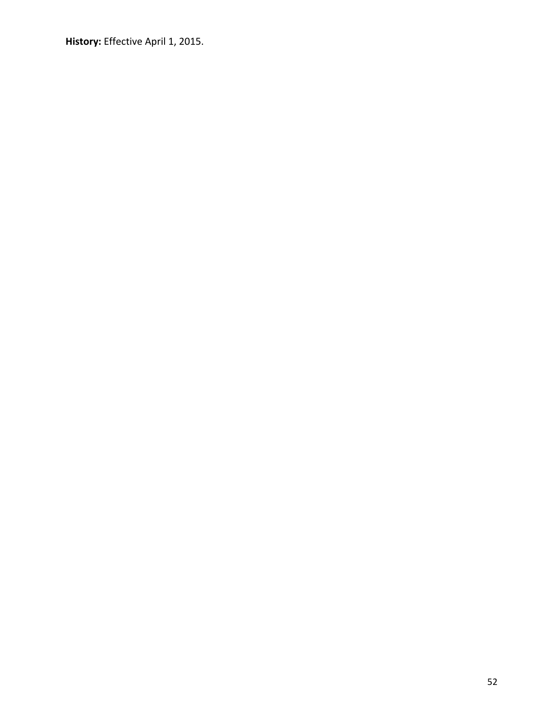**History:** Effective April 1, 2015.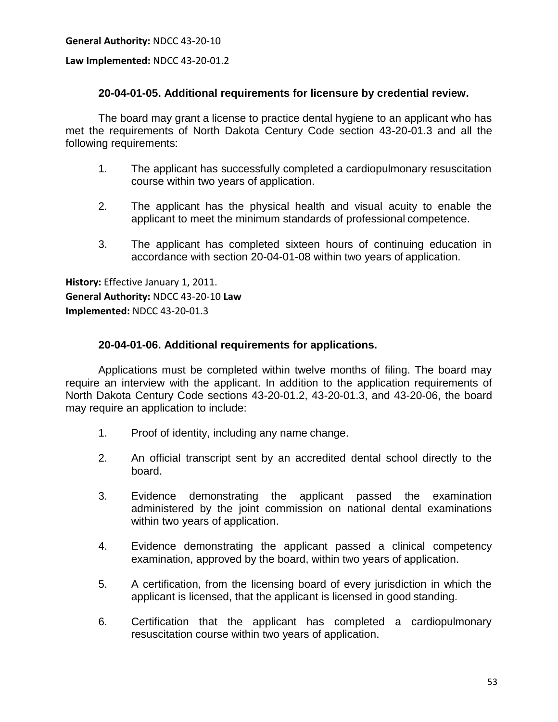**General Authority:** NDCC 43-20-10

**Law Implemented:** NDCC 43-20-01.2

### **20-04-01-05. Additional requirements for licensure by credential review.**

The board may grant a license to practice dental hygiene to an applicant who has met the requirements of North Dakota Century Code section 43-20-01.3 and all the following requirements:

- 1. The applicant has successfully completed a cardiopulmonary resuscitation course within two years of application.
- 2. The applicant has the physical health and visual acuity to enable the applicant to meet the minimum standards of professional competence.
- 3. The applicant has completed sixteen hours of continuing education in accordance with section 20-04-01-08 within two years of application.

**History:** Effective January 1, 2011. **General Authority:** NDCC 43-20-10 **Law Implemented:** NDCC 43-20-01.3

### **20-04-01-06. Additional requirements for applications.**

Applications must be completed within twelve months of filing. The board may require an interview with the applicant. In addition to the application requirements of North Dakota Century Code sections 43-20-01.2, 43-20-01.3, and 43-20-06, the board may require an application to include:

- 1. Proof of identity, including any name change.
- 2. An official transcript sent by an accredited dental school directly to the board.
- 3. Evidence demonstrating the applicant passed the examination administered by the joint commission on national dental examinations within two years of application.
- 4. Evidence demonstrating the applicant passed a clinical competency examination, approved by the board, within two years of application.
- 5. A certification, from the licensing board of every jurisdiction in which the applicant is licensed, that the applicant is licensed in good standing.
- 6. Certification that the applicant has completed a cardiopulmonary resuscitation course within two years of application.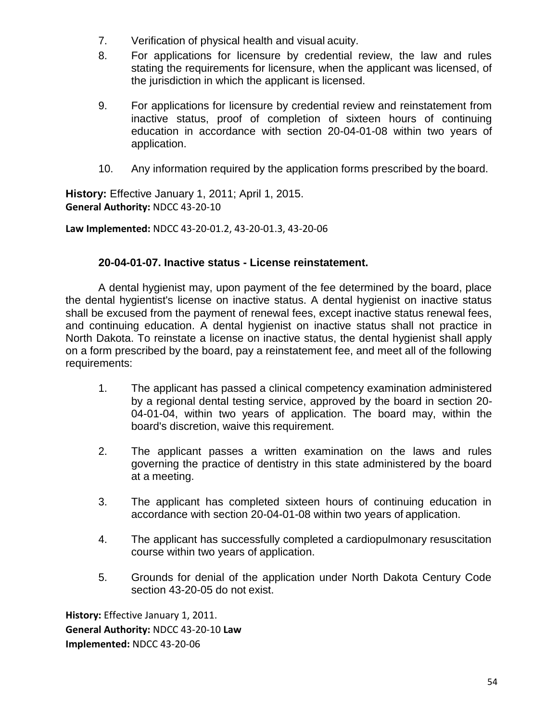- 7. Verification of physical health and visual acuity.
- 8. For applications for licensure by credential review, the law and rules stating the requirements for licensure, when the applicant was licensed, of the jurisdiction in which the applicant is licensed.
- 9. For applications for licensure by credential review and reinstatement from inactive status, proof of completion of sixteen hours of continuing education in accordance with section 20-04-01-08 within two years of application.
- 10. Any information required by the application forms prescribed by the board.

**History:** Effective January 1, 2011; April 1, 2015. **General Authority:** NDCC 43-20-10

**Law Implemented:** NDCC 43-20-01.2, 43-20-01.3, 43-20-06

### **20-04-01-07. Inactive status - License reinstatement.**

A dental hygienist may, upon payment of the fee determined by the board, place the dental hygientist's license on inactive status. A dental hygienist on inactive status shall be excused from the payment of renewal fees, except inactive status renewal fees, and continuing education. A dental hygienist on inactive status shall not practice in North Dakota. To reinstate a license on inactive status, the dental hygienist shall apply on a form prescribed by the board, pay a reinstatement fee, and meet all of the following requirements:

- 1. The applicant has passed a clinical competency examination administered by a regional dental testing service, approved by the board in section 20- 04-01-04, within two years of application. The board may, within the board's discretion, waive this requirement.
- 2. The applicant passes a written examination on the laws and rules governing the practice of dentistry in this state administered by the board at a meeting.
- 3. The applicant has completed sixteen hours of continuing education in accordance with section 20-04-01-08 within two years of application.
- 4. The applicant has successfully completed a cardiopulmonary resuscitation course within two years of application.
- 5. Grounds for denial of the application under North Dakota Century Code section 43-20-05 do not exist.

**History:** Effective January 1, 2011. **General Authority:** NDCC 43-20-10 **Law Implemented:** NDCC 43-20-06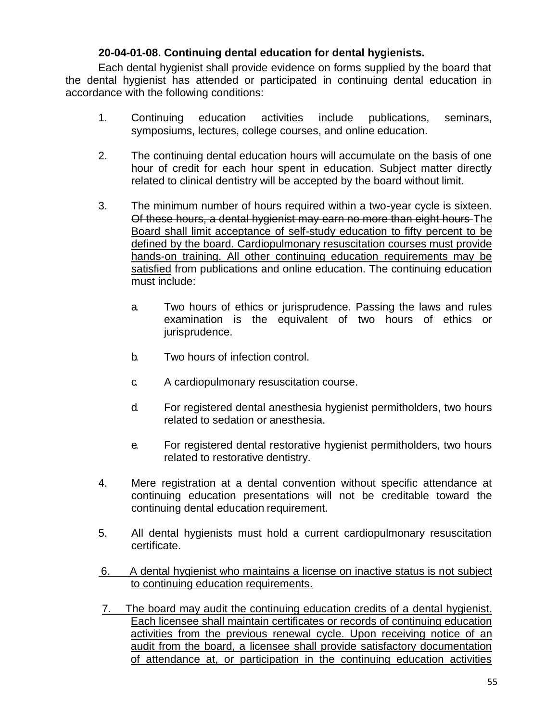## **20-04-01-08. Continuing dental education for dental hygienists.**

Each dental hygienist shall provide evidence on forms supplied by the board that the dental hygienist has attended or participated in continuing dental education in accordance with the following conditions:

- 1. Continuing education activities include publications, seminars, symposiums, lectures, college courses, and online education.
- 2. The continuing dental education hours will accumulate on the basis of one hour of credit for each hour spent in education. Subject matter directly related to clinical dentistry will be accepted by the board without limit.
- 3. The minimum number of hours required within a two-year cycle is sixteen. Of these hours, a dental hygienist may earn no more than eight hours The Board shall limit acceptance of self-study education to fifty percent to be defined by the board. Cardiopulmonary resuscitation courses must provide hands-on training. All other continuing education requirements may be satisfied from publications and online education. The continuing education must include:
	- a. Two hours of ethics or jurisprudence. Passing the laws and rules examination is the equivalent of two hours of ethics or jurisprudence.
	- b. Two hours of infection control.
	- c. A cardiopulmonary resuscitation course.
	- d. For registered dental anesthesia hygienist permitholders, two hours related to sedation or anesthesia.
	- e. For registered dental restorative hygienist permitholders, two hours related to restorative dentistry.
- 4. Mere registration at a dental convention without specific attendance at continuing education presentations will not be creditable toward the continuing dental education requirement.
- 5. All dental hygienists must hold a current cardiopulmonary resuscitation certificate.
- 6. A dental hygienist who maintains a license on inactive status is not subject to continuing education requirements.
- 7. The board may audit the continuing education credits of a dental hygienist. Each licensee shall maintain certificates or records of continuing education activities from the previous renewal cycle. Upon receiving notice of an audit from the board, a licensee shall provide satisfactory documentation of attendance at, or participation in the continuing education activities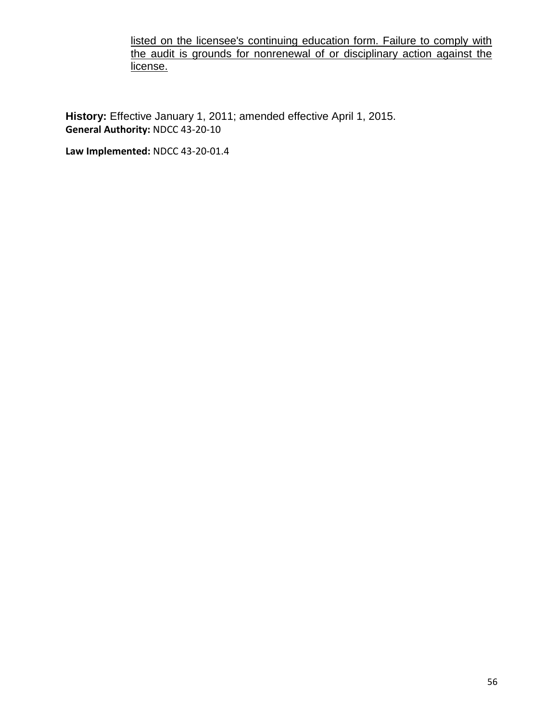listed on the licensee's continuing education form. Failure to comply with the audit is grounds for nonrenewal of or disciplinary action against the license.

**History:** Effective January 1, 2011; amended effective April 1, 2015. **General Authority:** NDCC 43-20-10

**Law Implemented:** NDCC 43-20-01.4